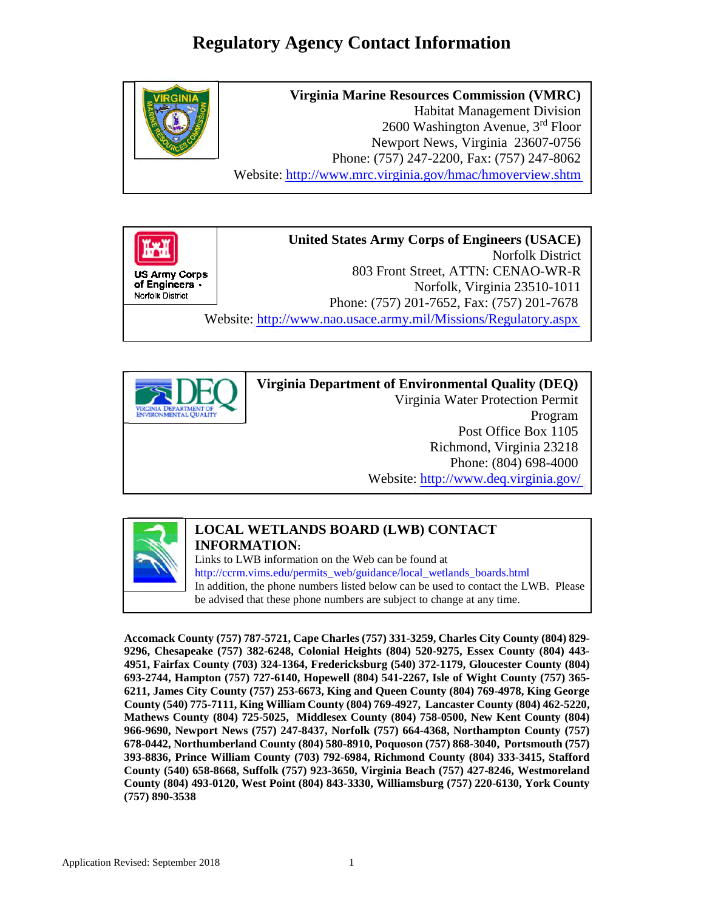# **Regulatory Agency Contact Information**







### **Virginia Department of Environmental Quality (DEQ)** Virginia Water Protection Permit Program Post Office Box 1105 Richmond, Virginia 23218 Phone: (804) 698-4000 Website: <http://www.deq.virginia.gov/>



#### **LOCAL WETLANDS BOARD (LWB) CONTACT INFORMATION:**

Links to LWB information on the Web can be found at [http://ccrm.vims.edu/permits\\_web/guidance/local\\_wetlands\\_boards.html](http://ccrm.vims.edu/permits_web/guidance/local_wetlands_boards.html) In addition, the phone numbers listed below can be used to contact the LWB. Please be advised that these phone numbers are subject to change at any time.

**Accomack County (757) 787-5721, Cape Charles (757) 331-3259, Charles City County (804) 829- 9296, Chesapeake (757) 382-6248, Colonial Heights (804) 520-9275, Essex County (804) 443- 4951, Fairfax County (703) 324-1364, Fredericksburg (540) 372-1179, Gloucester County (804) 693-2744, Hampton (757) 727-6140, Hopewell (804) 541-2267, Isle of Wight County (757) 365- 6211, James City County (757) 253-6673, King and Queen County (804) 769-4978, King George County (540) 775-7111, King William County (804) 769-4927, Lancaster County (804) 462-5220, Mathews County (804) 725-5025, Middlesex County (804) 758-0500, New Kent County (804) 966-9690, Newport News (757) 247-8437, Norfolk (757) 664-4368, Northampton County (757) 678-0442, Northumberland County (804) 580-8910, Poquoson (757) 868-3040, Portsmouth (757) 393-8836, Prince William County (703) 792-6984, Richmond County (804) 333-3415, Stafford County (540) 658-8668, Suffolk (757) 923-3650, Virginia Beach (757) 427-8246, Westmoreland County (804) 493-0120, West Point (804) 843-3330, Williamsburg (757) 220-6130, York County (757) 890-3538**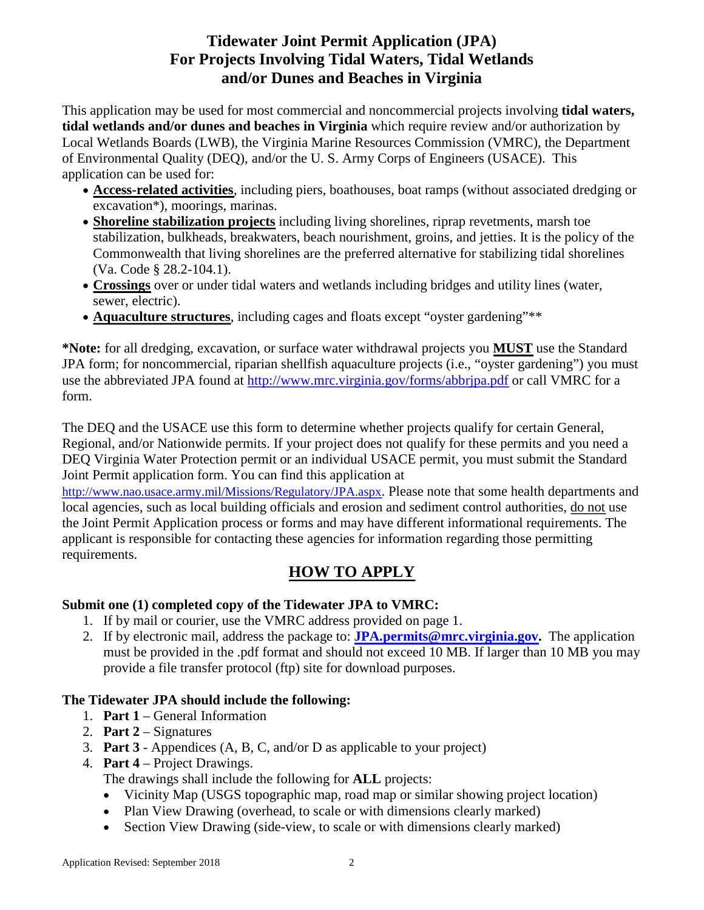## **Tidewater Joint Permit Application (JPA) For Projects Involving Tidal Waters, Tidal Wetlands and/or Dunes and Beaches in Virginia**

This application may be used for most commercial and noncommercial projects involving **tidal waters, tidal wetlands and/or dunes and beaches in Virginia** which require review and/or authorization by Local Wetlands Boards (LWB), the Virginia Marine Resources Commission (VMRC), the Department of Environmental Quality (DEQ), and/or the U. S. Army Corps of Engineers (USACE). This application can be used for:

- **Access-related activities**, including piers, boathouses, boat ramps (without associated dredging or excavation\*), moorings, marinas.
- **Shoreline stabilization projects** including living shorelines, riprap revetments, marsh toe stabilization, bulkheads, breakwaters, beach nourishment, groins, and jetties. It is the policy of the Commonwealth that living shorelines are the preferred alternative for stabilizing tidal shorelines (Va. Code § 28.2-104.1).
- **Crossings** over or under tidal waters and wetlands including bridges and utility lines (water, sewer, electric).
- **Aquaculture structures**, including cages and floats except "oyster gardening"\*\*

**\*Note:** for all dredging, excavation, or surface water withdrawal projects you **MUST** use the Standard JPA form; for noncommercial, riparian shellfish aquaculture projects (i.e., "oyster gardening") you must use the abbreviated JPA found at<http://www.mrc.virginia.gov/forms/abbrjpa.pdf> or call VMRC for a form.

The DEQ and the USACE use this form to determine whether projects qualify for certain General, Regional, and/or Nationwide permits. If your project does not qualify for these permits and you need a DEQ Virginia Water Protection permit or an individual USACE permit, you must submit the Standard Joint Permit application form. You can find this application at

[http://www.nao.usace.army.mil/Missions/Regulatory/JPA.aspx.](http://www.nao.usace.army.mil/Missions/Regulatory/JPA.aspx) Please note that some health departments and local agencies, such as local building officials and erosion and sediment control authorities, do not use the Joint Permit Application process or forms and may have different informational requirements. The applicant is responsible for contacting these agencies for information regarding those permitting requirements.

## **HOW TO APPLY**

### **Submit one (1) completed copy of the Tidewater JPA to VMRC:**

- 1. If by mail or courier, use the VMRC address provided on page 1.
- 2. If by electronic mail, address the package to: **[JPA.permits@mrc.virginia.gov.](mailto:JPA.permits@mrc.virginia.gov)** The application must be provided in the .pdf format and should not exceed 10 MB. If larger than 10 MB you may provide a file transfer protocol (ftp) site for download purposes.

### **The Tidewater JPA should include the following:**

- 1. **Part 1**  General Information
- 2. **Part 2**  Signatures
- 3. **Part 3**  Appendices (A, B, C, and/or D as applicable to your project)
- 4. **Part 4**  Project Drawings.

The drawings shall include the following for **ALL** projects:

- Vicinity Map (USGS topographic map, road map or similar showing project location)
- Plan View Drawing (overhead, to scale or with dimensions clearly marked)
- Section View Drawing (side-view, to scale or with dimensions clearly marked)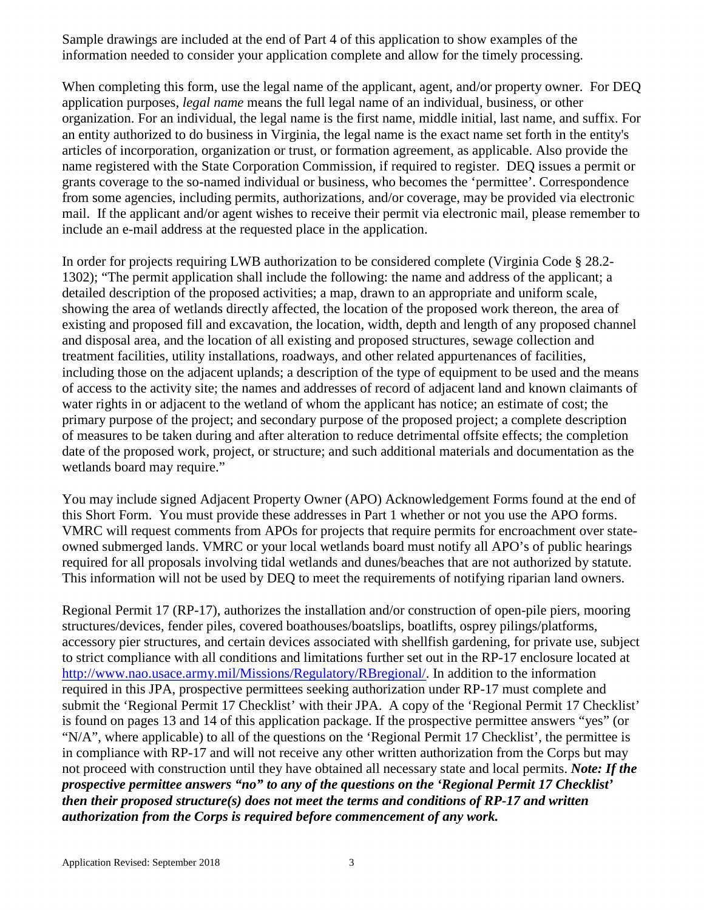Sample drawings are included at the end of Part 4 of this application to show examples of the information needed to consider your application complete and allow for the timely processing.

When completing this form, use the legal name of the applicant, agent, and/or property owner. For DEQ application purposes, *legal name* means the full legal name of an individual, business, or other organization. For an individual, the legal name is the first name, middle initial, last name, and suffix. For an entity authorized to do business in Virginia, the legal name is the exact name set forth in the entity's articles of incorporation, organization or trust, or formation agreement, as applicable. Also provide the name registered with the State Corporation Commission, if required to register. DEQ issues a permit or grants coverage to the so-named individual or business, who becomes the 'permittee'. Correspondence from some agencies, including permits, authorizations, and/or coverage, may be provided via electronic mail. If the applicant and/or agent wishes to receive their permit via electronic mail, please remember to include an e-mail address at the requested place in the application.

In order for projects requiring LWB authorization to be considered complete (Virginia Code § 28.2- 1302); "The permit application shall include the following: the name and address of the applicant; a detailed description of the proposed activities; a map, drawn to an appropriate and uniform scale, showing the area of wetlands directly affected, the location of the proposed work thereon, the area of existing and proposed fill and excavation, the location, width, depth and length of any proposed channel and disposal area, and the location of all existing and proposed structures, sewage collection and treatment facilities, utility installations, roadways, and other related appurtenances of facilities, including those on the adjacent uplands; a description of the type of equipment to be used and the means of access to the activity site; the names and addresses of record of adjacent land and known claimants of water rights in or adjacent to the wetland of whom the applicant has notice; an estimate of cost; the primary purpose of the project; and secondary purpose of the proposed project; a complete description of measures to be taken during and after alteration to reduce detrimental offsite effects; the completion date of the proposed work, project, or structure; and such additional materials and documentation as the wetlands board may require."

You may include signed Adjacent Property Owner (APO) Acknowledgement Forms found at the end of this Short Form. You must provide these addresses in Part 1 whether or not you use the APO forms. VMRC will request comments from APOs for projects that require permits for encroachment over stateowned submerged lands. VMRC or your local wetlands board must notify all APO's of public hearings required for all proposals involving tidal wetlands and dunes/beaches that are not authorized by statute. This information will not be used by DEQ to meet the requirements of notifying riparian land owners.

Regional Permit 17 (RP-17), authorizes the installation and/or construction of open-pile piers, mooring structures/devices, fender piles, covered boathouses/boatslips, boatlifts, osprey pilings/platforms, accessory pier structures, and certain devices associated with shellfish gardening, for private use, subject to strict compliance with all conditions and limitations further set out in the RP-17 enclosure located at [http://www.nao.usace.army.mil/Missions/Regulatory/RBregional/.](http://www.nao.usace.army.mil/Missions/Regulatory/RBregional/) In addition to the information required in this JPA, prospective permittees seeking authorization under RP-17 must complete and submit the 'Regional Permit 17 Checklist' with their JPA. A copy of the 'Regional Permit 17 Checklist' is found on pages 13 and 14 of this application package. If the prospective permittee answers "yes" (or "N/A", where applicable) to all of the questions on the 'Regional Permit 17 Checklist', the permittee is in compliance with RP-17 and will not receive any other written authorization from the Corps but may not proceed with construction until they have obtained all necessary state and local permits. *Note: If the prospective permittee answers "no" to any of the questions on the 'Regional Permit 17 Checklist' then their proposed structure(s) does not meet the terms and conditions of RP-17 and written authorization from the Corps is required before commencement of any work.*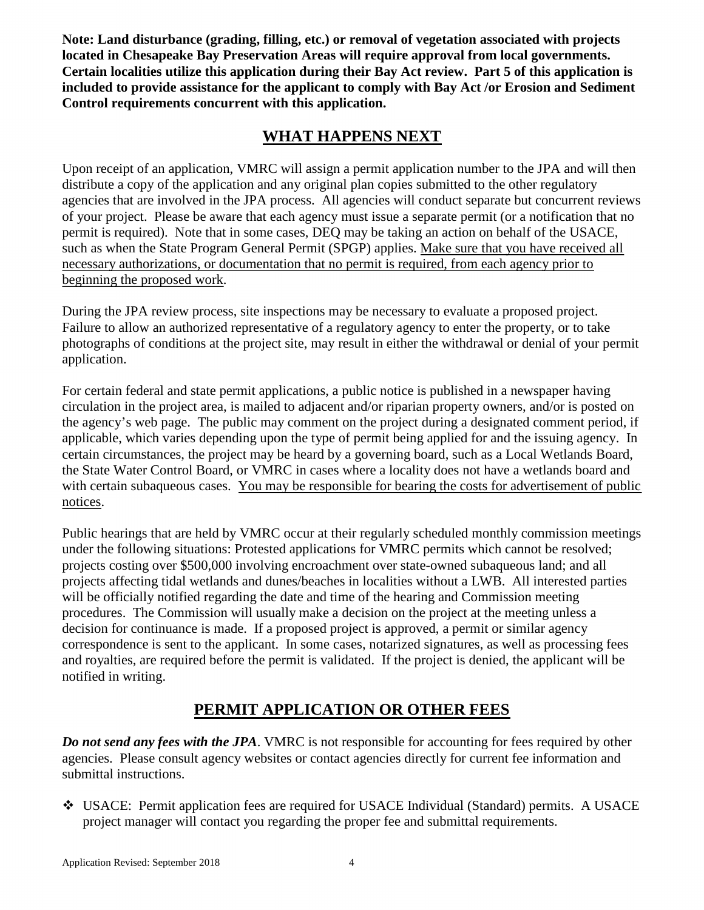**Note: Land disturbance (grading, filling, etc.) or removal of vegetation associated with projects located in Chesapeake Bay Preservation Areas will require approval from local governments. Certain localities utilize this application during their Bay Act review. Part 5 of this application is included to provide assistance for the applicant to comply with Bay Act /or Erosion and Sediment Control requirements concurrent with this application.** 

### **WHAT HAPPENS NEXT**

Upon receipt of an application, VMRC will assign a permit application number to the JPA and will then distribute a copy of the application and any original plan copies submitted to the other regulatory agencies that are involved in the JPA process. All agencies will conduct separate but concurrent reviews of your project. Please be aware that each agency must issue a separate permit (or a notification that no permit is required). Note that in some cases, DEQ may be taking an action on behalf of the USACE, such as when the State Program General Permit (SPGP) applies. Make sure that you have received all necessary authorizations, or documentation that no permit is required, from each agency prior to beginning the proposed work.

During the JPA review process, site inspections may be necessary to evaluate a proposed project. Failure to allow an authorized representative of a regulatory agency to enter the property, or to take photographs of conditions at the project site, may result in either the withdrawal or denial of your permit application.

For certain federal and state permit applications, a public notice is published in a newspaper having circulation in the project area, is mailed to adjacent and/or riparian property owners, and/or is posted on the agency's web page. The public may comment on the project during a designated comment period, if applicable, which varies depending upon the type of permit being applied for and the issuing agency. In certain circumstances, the project may be heard by a governing board, such as a Local Wetlands Board, the State Water Control Board, or VMRC in cases where a locality does not have a wetlands board and with certain subaqueous cases. You may be responsible for bearing the costs for advertisement of public notices.

Public hearings that are held by VMRC occur at their regularly scheduled monthly commission meetings under the following situations: Protested applications for VMRC permits which cannot be resolved; projects costing over \$500,000 involving encroachment over state-owned subaqueous land; and all projects affecting tidal wetlands and dunes/beaches in localities without a LWB. All interested parties will be officially notified regarding the date and time of the hearing and Commission meeting procedures. The Commission will usually make a decision on the project at the meeting unless a decision for continuance is made. If a proposed project is approved, a permit or similar agency correspondence is sent to the applicant. In some cases, notarized signatures, as well as processing fees and royalties, are required before the permit is validated. If the project is denied, the applicant will be notified in writing.

## **PERMIT APPLICATION OR OTHER FEES**

*Do not send any fees with the JPA*. VMRC is not responsible for accounting for fees required by other agencies. Please consult agency websites or contact agencies directly for current fee information and submittal instructions.

 USACE: Permit application fees are required for USACE Individual (Standard) permits. A USACE project manager will contact you regarding the proper fee and submittal requirements.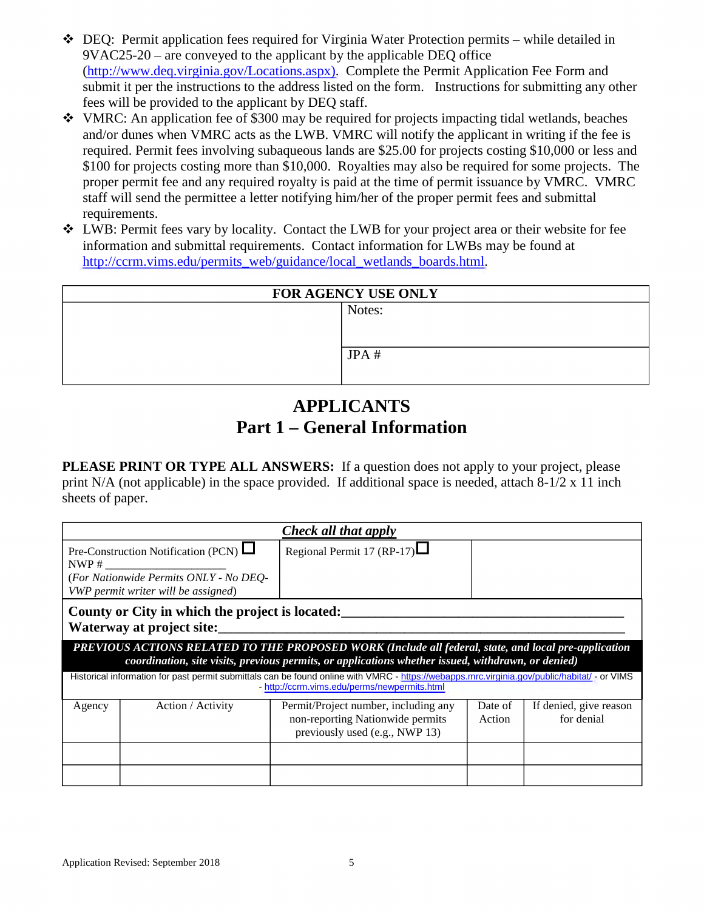- $\bullet$  DEQ: Permit application fees required for Virginia Water Protection permits while detailed in 9VAC25-20 – are conveyed to the applicant by the applicable DEQ office [\(http://www.deq.virginia.gov/Locations.aspx\)](http://www.deq.virginia.gov/Locations.aspx). Complete the Permit Application Fee Form and submit it per the instructions to the address listed on the form. Instructions for submitting any other fees will be provided to the applicant by DEQ staff.
- $\cdot$  VMRC: An application fee of \$300 may be required for projects impacting tidal wetlands, beaches and/or dunes when VMRC acts as the LWB. VMRC will notify the applicant in writing if the fee is required. Permit fees involving subaqueous lands are \$25.00 for projects costing \$10,000 or less and \$100 for projects costing more than \$10,000. Royalties may also be required for some projects. The proper permit fee and any required royalty is paid at the time of permit issuance by VMRC. VMRC staff will send the permittee a letter notifying him/her of the proper permit fees and submittal requirements.
- LWB: Permit fees vary by locality. Contact the LWB for your project area or their website for fee information and submittal requirements. Contact information for LWBs may be found at [http://ccrm.vims.edu/permits\\_web/guidance/local\\_wetlands\\_boards.html.](http://ccrm.vims.edu/permits_web/guidance/local_wetlands_boards.html)

| <b>FOR AGENCY USE ONLY</b> |        |  |
|----------------------------|--------|--|
|                            | Notes: |  |
|                            |        |  |
|                            |        |  |
|                            | JPA#   |  |
|                            |        |  |
|                            |        |  |

## **APPLICANTS Part 1 – General Information**

**PLEASE PRINT OR TYPE ALL ANSWERS:** If a question does not apply to your project, please print N/A (not applicable) in the space provided. If additional space is needed, attach 8-1/2 x 11 inch sheets of paper.

| Check all that apply                                                                                                                                                                       |                                                                                                                                                                                                            |                                                                                                            |                   |                                      |  |
|--------------------------------------------------------------------------------------------------------------------------------------------------------------------------------------------|------------------------------------------------------------------------------------------------------------------------------------------------------------------------------------------------------------|------------------------------------------------------------------------------------------------------------|-------------------|--------------------------------------|--|
|                                                                                                                                                                                            | Regional Permit 17 (RP-17) $\Box$<br>Pre-Construction Notification (PCN) $\Box$<br>NWP #<br>(For Nationwide Permits ONLY - No DEO-<br>VWP permit writer will be assigned)                                  |                                                                                                            |                   |                                      |  |
|                                                                                                                                                                                            | County or City in which the project is located:<br>Waterway at project site:                                                                                                                               |                                                                                                            |                   |                                      |  |
|                                                                                                                                                                                            | PREVIOUS ACTIONS RELATED TO THE PROPOSED WORK (Include all federal, state, and local pre-application<br>coordination, site visits, previous permits, or applications whether issued, withdrawn, or denied) |                                                                                                            |                   |                                      |  |
| Historical information for past permit submittals can be found online with VMRC - https://webapps.mrc.virginia.gov/public/habitat/ - or VIMS<br>http://ccrm.vims.edu/perms/newpermits.html |                                                                                                                                                                                                            |                                                                                                            |                   |                                      |  |
| Agency                                                                                                                                                                                     | Action / Activity                                                                                                                                                                                          | Permit/Project number, including any<br>non-reporting Nationwide permits<br>previously used (e.g., NWP 13) | Date of<br>Action | If denied, give reason<br>for denial |  |
|                                                                                                                                                                                            |                                                                                                                                                                                                            |                                                                                                            |                   |                                      |  |
|                                                                                                                                                                                            |                                                                                                                                                                                                            |                                                                                                            |                   |                                      |  |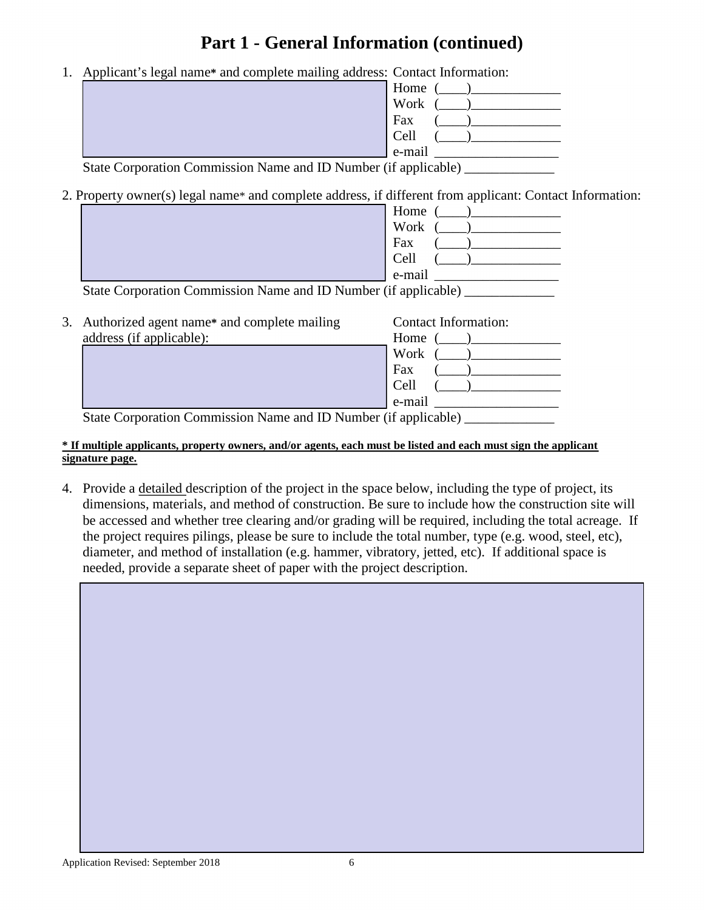# **Part 1 - General Information (continued)**

1. Applicant's legal name**\*** and complete mailing address: Contact Information:

| . . |  | ຼ                                                               |
|-----|--|-----------------------------------------------------------------|
|     |  | Home                                                            |
|     |  | Work                                                            |
|     |  | Fax                                                             |
|     |  | Cell                                                            |
|     |  | $e$ -mail                                                       |
|     |  | $\chi$ Correction Commission Name and ID Number (if applicable) |

State Corporation Commission Name and ID Number (if applicable) \_\_\_\_\_\_\_\_\_\_\_\_\_\_\_\_

2. Property owner(s) legal name\* and complete address, if different from applicant: Contact Information:

|                                                                 | Home                        |
|-----------------------------------------------------------------|-----------------------------|
|                                                                 | Work                        |
|                                                                 | Fax                         |
|                                                                 | Cell                        |
|                                                                 | e-mail                      |
| State Corporation Commission Name and ID Number (if applicable) |                             |
|                                                                 |                             |
| 3. Authorized agent name* and complete mailing                  | <b>Contact Information:</b> |
| address (if applicable):                                        | Home                        |
|                                                                 | Work                        |

e-mail \_\_\_\_\_\_\_\_\_\_\_\_\_\_\_\_\_\_ State Corporation Commission Name and ID Number (if applicable)

#### **\* If multiple applicants, property owners, and/or agents, each must be listed and each must sign the applicant signature page.**

4. Provide a detailed description of the project in the space below, including the type of project, its dimensions, materials, and method of construction. Be sure to include how the construction site will be accessed and whether tree clearing and/or grading will be required, including the total acreage. If the project requires pilings, please be sure to include the total number, type (e.g. wood, steel, etc), diameter, and method of installation (e.g. hammer, vibratory, jetted, etc). If additional space is needed, provide a separate sheet of paper with the project description.

Fax  $($  $Cell$  ( )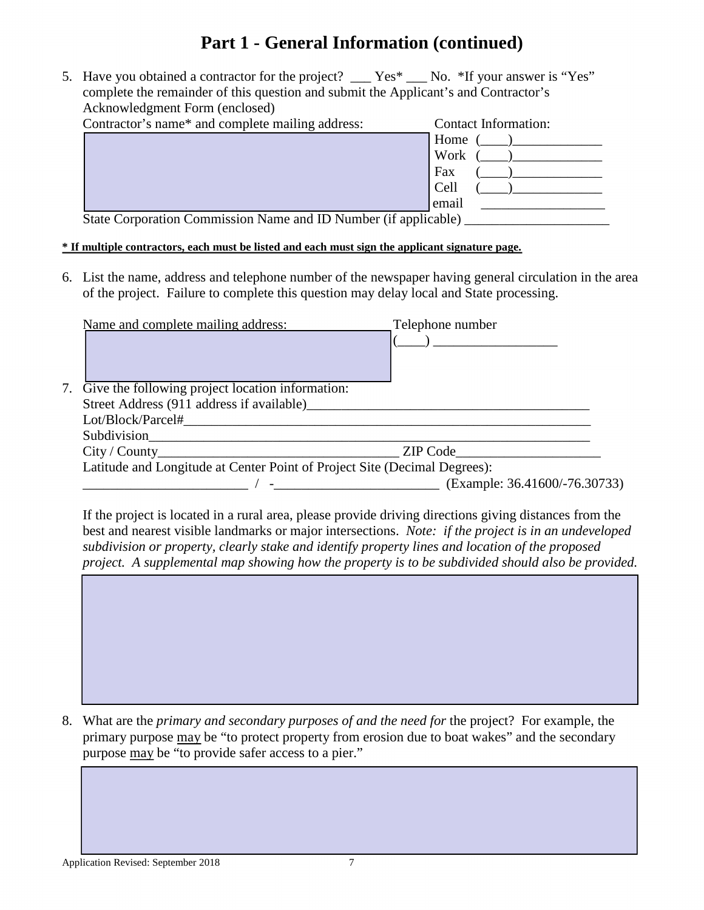# **Part 1 - General Information (continued)**

5. Have you obtained a contractor for the project? Yes\* No. \*If your answer is "Yes" complete the remainder of this question and submit the Applicant's and Contractor's Acknowledgment Form (enclosed)

| <b>Contact Information:</b> |
|-----------------------------|
| Home                        |
| Work                        |
| Fax                         |
| Cell                        |
| email                       |
|                             |

State Corporation Commission Name and ID Number (if applicable)

#### **\* If multiple contractors, each must be listed and each must sign the applicant signature page.**

6. List the name, address and telephone number of the newspaper having general circulation in the area of the project. Failure to complete this question may delay local and State processing.

| Name and complete mailing address:                  | Telephone number                                                          |  |
|-----------------------------------------------------|---------------------------------------------------------------------------|--|
|                                                     |                                                                           |  |
|                                                     |                                                                           |  |
| 7. Give the following project location information: |                                                                           |  |
|                                                     | Street Address (911 address if available)                                 |  |
| Lot/Block/Parcel#                                   |                                                                           |  |
|                                                     |                                                                           |  |
|                                                     | City / County 2IP Code                                                    |  |
|                                                     | Latitude and Longitude at Center Point of Project Site (Decimal Degrees): |  |
|                                                     | (Example: 36.41600/-76.30733)                                             |  |
|                                                     |                                                                           |  |

If the project is located in a rural area, please provide driving directions giving distances from the best and nearest visible landmarks or major intersections. *Note: if the project is in an undeveloped subdivision or property, clearly stake and identify property lines and location of the proposed project. A supplemental map showing how the property is to be subdivided should also be provided.*

8. What are the *primary and secondary purposes of and the need for* the project? For example, the primary purpose may be "to protect property from erosion due to boat wakes" and the secondary purpose may be "to provide safer access to a pier."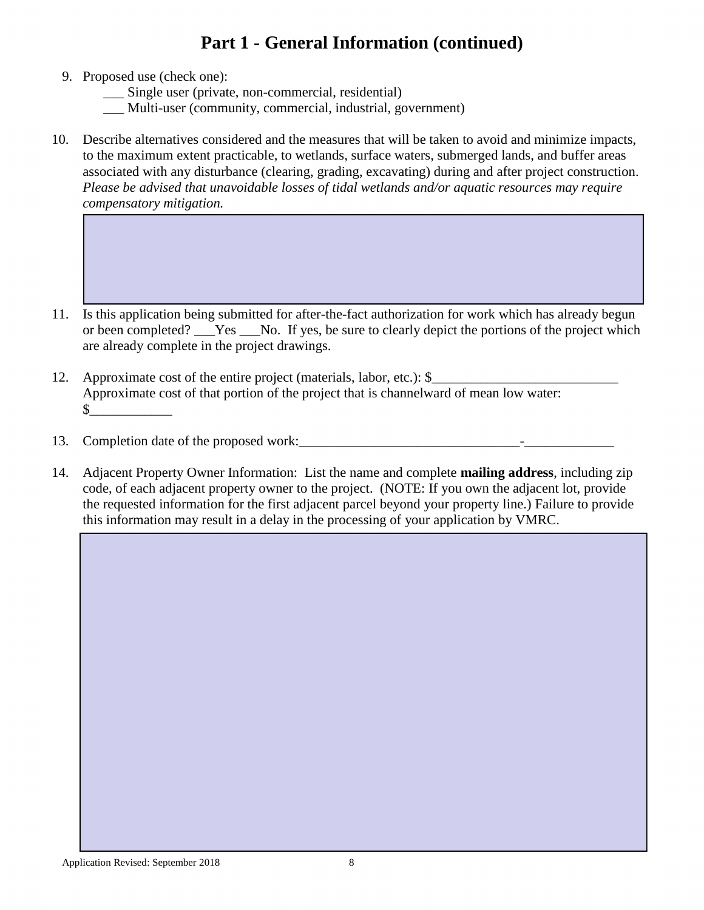# **Part 1 - General Information (continued)**

- 9. Proposed use (check one):
	- \_\_\_ Single user (private, non-commercial, residential)
	- \_\_\_ Multi-user (community, commercial, industrial, government)
- 10. Describe alternatives considered and the measures that will be taken to avoid and minimize impacts, to the maximum extent practicable, to wetlands, surface waters, submerged lands, and buffer areas associated with any disturbance (clearing, grading, excavating) during and after project construction. *Please be advised that unavoidable losses of tidal wetlands and/or aquatic resources may require compensatory mitigation.*

- 11. Is this application being submitted for after-the-fact authorization for work which has already begun or been completed? Yes No. If yes, be sure to clearly depict the portions of the project which are already complete in the project drawings.
- 12. Approximate cost of the entire project (materials, labor, etc.): \$ Approximate cost of that portion of the project that is channelward of mean low water:  $\sim$
- 13. Completion date of the proposed work:\_\_\_\_\_\_\_\_\_\_\_\_\_\_\_\_\_\_\_\_\_\_\_\_\_\_\_\_\_\_\_\_-\_\_\_\_\_\_\_\_\_\_\_\_\_
- 14. Adjacent Property Owner Information: List the name and complete **mailing address**, including zip code, of each adjacent property owner to the project. (NOTE: If you own the adjacent lot, provide the requested information for the first adjacent parcel beyond your property line.) Failure to provide this information may result in a delay in the processing of your application by VMRC.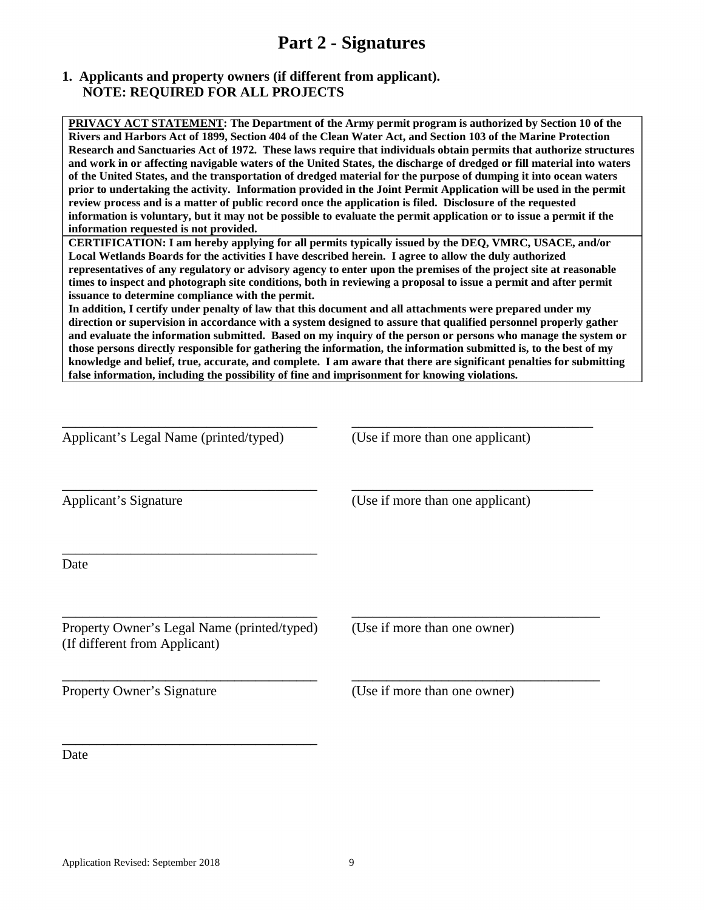## **Part 2 - Signatures**

#### **1. Applicants and property owners (if different from applicant). NOTE: REQUIRED FOR ALL PROJECTS**

**PRIVACY ACT STATEMENT: The Department of the Army permit program is authorized by Section 10 of the Rivers and Harbors Act of 1899, Section 404 of the Clean Water Act, and Section 103 of the Marine Protection Research and Sanctuaries Act of 1972. These laws require that individuals obtain permits that authorize structures and work in or affecting navigable waters of the United States, the discharge of dredged or fill material into waters of the United States, and the transportation of dredged material for the purpose of dumping it into ocean waters prior to undertaking the activity. Information provided in the Joint Permit Application will be used in the permit review process and is a matter of public record once the application is filed. Disclosure of the requested information is voluntary, but it may not be possible to evaluate the permit application or to issue a permit if the information requested is not provided.**

**CERTIFICATION: I am hereby applying for all permits typically issued by the DEQ, VMRC, USACE, and/or Local Wetlands Boards for the activities I have described herein. I agree to allow the duly authorized representatives of any regulatory or advisory agency to enter upon the premises of the project site at reasonable times to inspect and photograph site conditions, both in reviewing a proposal to issue a permit and after permit issuance to determine compliance with the permit.** 

**In addition, I certify under penalty of law that this document and all attachments were prepared under my direction or supervision in accordance with a system designed to assure that qualified personnel properly gather and evaluate the information submitted. Based on my inquiry of the person or persons who manage the system or those persons directly responsible for gathering the information, the information submitted is, to the best of my knowledge and belief, true, accurate, and complete. I am aware that there are significant penalties for submitting false information, including the possibility of fine and imprisonment for knowing violations.**

| Applicant's Legal Name (printed/typed)                                       | (Use if more than one applicant) |
|------------------------------------------------------------------------------|----------------------------------|
| Applicant's Signature                                                        | (Use if more than one applicant) |
| Date                                                                         |                                  |
| Property Owner's Legal Name (printed/typed)<br>(If different from Applicant) | (Use if more than one owner)     |
| Property Owner's Signature                                                   | (Use if more than one owner)     |
| Date                                                                         |                                  |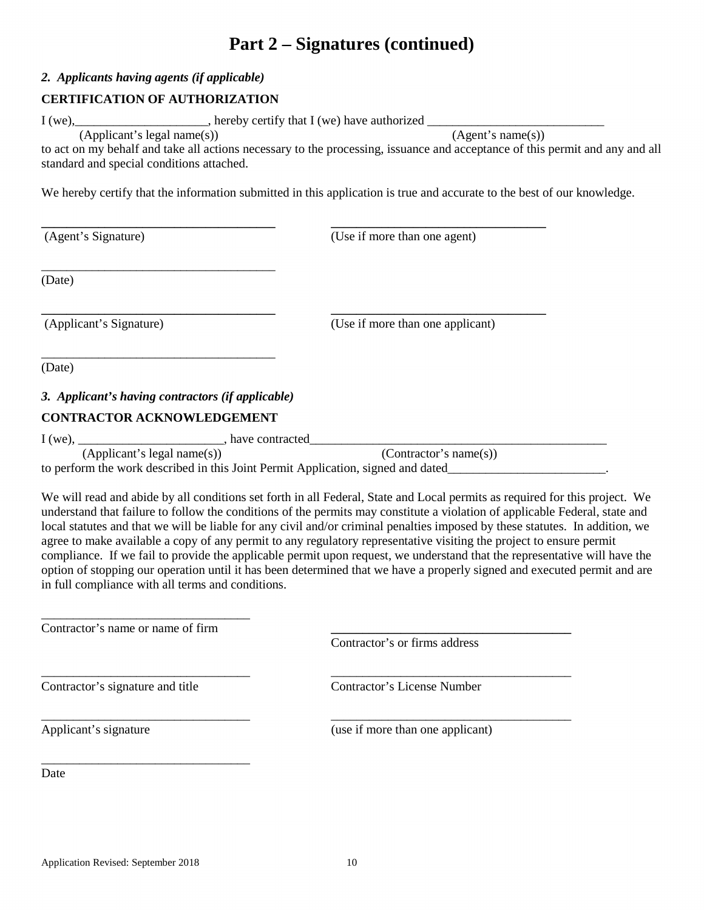## **Part 2 – Signatures (continued)**

#### *2. Applicants having agents (if applicable)*

#### **CERTIFICATION OF AUTHORIZATION**

I (we),\_\_\_\_\_\_\_\_\_\_\_\_\_\_\_\_\_\_\_\_\_, hereby certify that I (we) have authorized \_\_\_\_\_\_\_\_\_\_\_\_\_\_\_\_\_\_\_\_\_\_\_\_\_\_\_\_

 $(Applicant's legal name(s))$ 

to act on my behalf and take all actions necessary to the processing, issuance and acceptance of this permit and any and all standard and special conditions attached.

We hereby certify that the information submitted in this application is true and accurate to the best of our knowledge.

**\_\_\_\_\_\_\_\_\_\_\_\_\_\_\_\_\_\_\_\_\_\_\_\_\_\_\_\_\_\_\_\_\_\_\_\_\_ \_\_\_\_\_\_\_\_\_\_\_\_\_\_\_\_\_\_\_\_\_\_\_\_\_\_\_\_\_\_\_\_\_\_** 

(Agent's Signature) (Use if more than one agent)

(Date)

**\_\_\_\_\_\_\_\_\_\_\_\_\_\_\_\_\_\_\_\_\_\_\_\_\_\_\_\_\_\_\_\_\_\_\_\_\_ \_\_\_\_\_\_\_\_\_\_\_\_\_\_\_\_\_\_\_\_\_\_\_\_\_\_\_\_\_\_\_\_\_\_**  (Applicant's Signature) (Use if more than one applicant)

(Date)

### *3. Applicant's having contractors (if applicable)*

### **CONTRACTOR ACKNOWLEDGEMENT**

\_\_\_\_\_\_\_\_\_\_\_\_\_\_\_\_\_\_\_\_\_\_\_\_\_\_\_\_\_\_\_\_\_\_\_\_\_

\_\_\_\_\_\_\_\_\_\_\_\_\_\_\_\_\_\_\_\_\_\_\_\_\_\_\_\_\_\_\_\_\_\_\_\_\_

I (we), \_\_\_\_\_\_\_\_\_\_\_\_\_\_\_\_\_\_\_\_\_\_\_\_\_\_\_\_\_\_\_\_\_\_, have contracted\_\_\_\_\_\_\_\_\_\_\_\_\_\_\_\_\_\_\_\_\_

(Applicant's legal name(s)) (Contractor's name(s))

to perform the work described in this Joint Permit Application, signed and dated\_\_\_\_\_\_\_\_\_\_\_\_\_\_\_\_\_\_\_\_\_\_\_\_\_\_\_\_\_\_

We will read and abide by all conditions set forth in all Federal, State and Local permits as required for this project. We understand that failure to follow the conditions of the permits may constitute a violation of applicable Federal, state and local statutes and that we will be liable for any civil and/or criminal penalties imposed by these statutes. In addition, we agree to make available a copy of any permit to any regulatory representative visiting the project to ensure permit compliance. If we fail to provide the applicable permit upon request, we understand that the representative will have the option of stopping our operation until it has been determined that we have a properly signed and executed permit and are in full compliance with all terms and conditions.

Contractor's name or name of firm

\_\_\_\_\_\_\_\_\_\_\_\_\_\_\_\_\_\_\_\_\_\_\_\_\_\_\_\_\_\_\_\_\_

\_\_\_\_\_\_\_\_\_\_\_\_\_\_\_\_\_\_\_\_\_\_\_\_\_\_\_\_\_\_\_\_\_

Contractor's or firms address

\_\_\_\_\_\_\_\_\_\_\_\_\_\_\_\_\_\_\_\_\_\_\_\_\_\_\_\_\_\_\_\_\_ \_\_\_\_\_\_\_\_\_\_\_\_\_\_\_\_\_\_\_\_\_\_\_\_\_\_\_\_\_\_\_\_\_\_\_\_\_\_ Contractor's signature and title Contractor's License Number

\_\_\_\_\_\_\_\_\_\_\_\_\_\_\_\_\_\_\_\_\_\_\_\_\_\_\_\_\_\_\_\_\_ \_\_\_\_\_\_\_\_\_\_\_\_\_\_\_\_\_\_\_\_\_\_\_\_\_\_\_\_\_\_\_\_\_\_\_\_\_\_

Applicant's signature (use if more than one applicant)

Date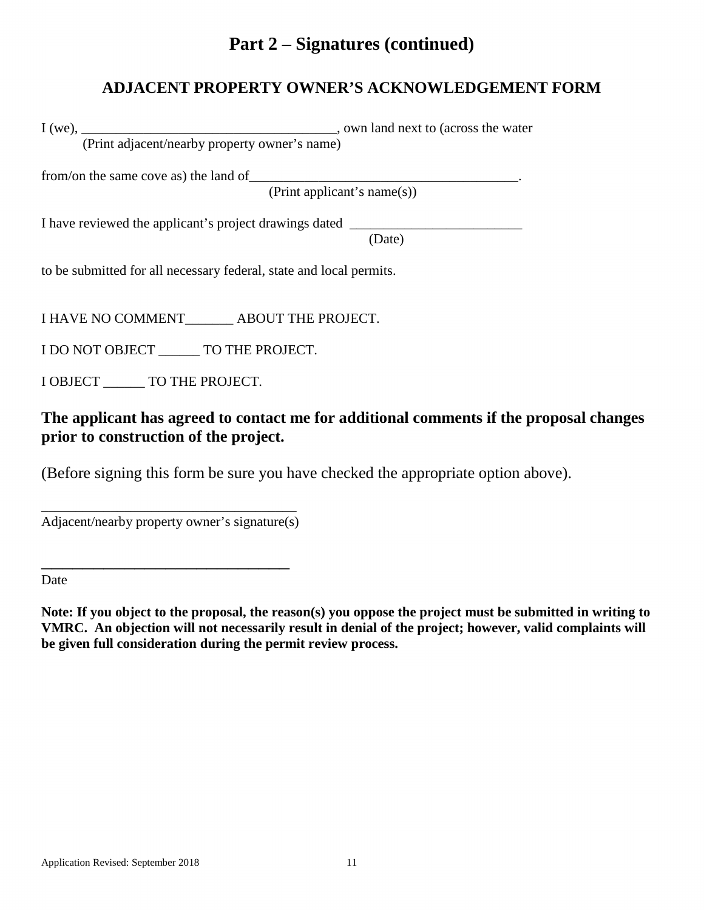## **Part 2 – Signatures (continued)**

## **ADJACENT PROPERTY OWNER'S ACKNOWLEDGEMENT FORM**

I (we), \_\_\_\_\_\_\_\_\_\_\_\_\_\_\_\_\_\_\_\_\_\_\_\_\_\_\_\_\_\_\_\_\_\_\_\_\_, own land next to (across the water

(Print adjacent/nearby property owner's name)

from/on the same cove as) the land of\_\_\_\_\_\_\_\_\_\_\_\_\_\_\_\_\_\_\_\_\_\_\_\_\_\_\_\_\_\_\_\_\_\_\_\_\_\_\_.

(Print applicant's name(s))

I have reviewed the applicant's project drawings dated \_\_\_\_\_\_\_\_\_\_\_\_\_\_\_\_\_\_\_\_\_\_\_\_\_

(Date)

to be submitted for all necessary federal, state and local permits.

I HAVE NO COMMENT\_\_\_\_\_\_\_ ABOUT THE PROJECT.

I DO NOT OBJECT \_\_\_\_\_\_ TO THE PROJECT.

I OBJECT **TO THE PROJECT.** 

**The applicant has agreed to contact me for additional comments if the proposal changes prior to construction of the project.**

(Before signing this form be sure you have checked the appropriate option above).

\_\_\_\_\_\_\_\_\_\_\_\_\_\_\_\_\_\_\_\_\_\_\_\_\_\_\_\_\_\_\_\_\_\_\_\_\_ Adjacent/nearby property owner's signature(s)

\_\_\_\_\_\_\_\_\_\_\_\_\_\_\_\_\_\_\_\_\_\_\_\_

Date

**Note: If you object to the proposal, the reason(s) you oppose the project must be submitted in writing to VMRC. An objection will not necessarily result in denial of the project; however, valid complaints will be given full consideration during the permit review process.**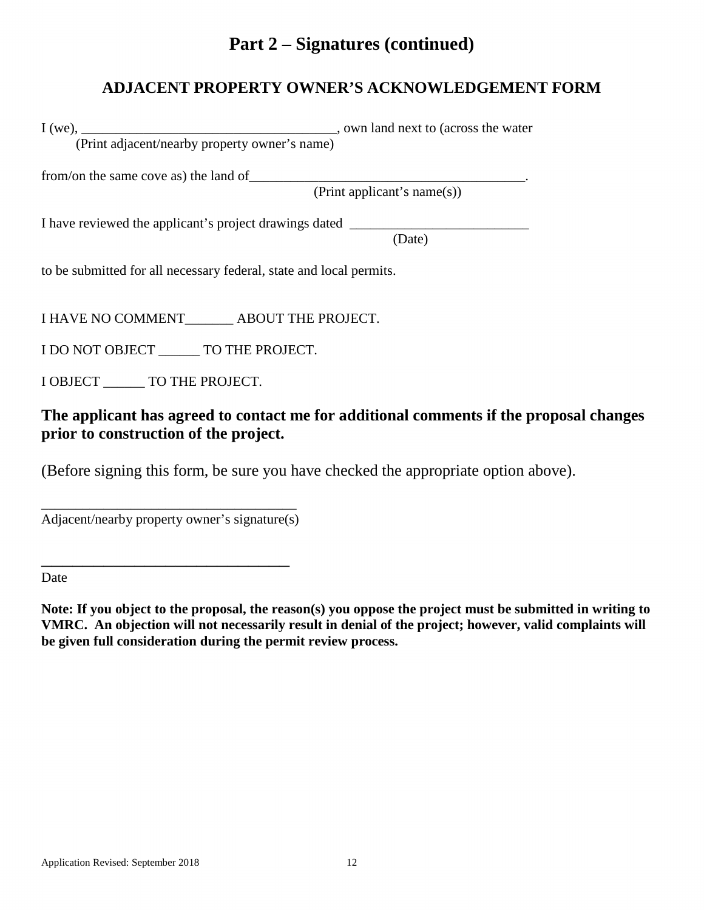## **Part 2 – Signatures (continued)**

## **ADJACENT PROPERTY OWNER'S ACKNOWLEDGEMENT FORM**

I (we), \_\_\_\_\_\_\_\_\_\_\_\_\_\_\_\_\_\_\_\_\_\_\_\_\_\_\_\_\_\_\_\_\_\_\_\_\_, own land next to (across the water (Print adjacent/nearby property owner's name)

from/on the same cove as) the land of\_\_\_\_\_\_\_\_\_\_\_\_\_\_\_\_\_\_\_\_\_\_\_\_\_\_\_\_\_\_\_\_\_\_\_\_\_\_\_\_.

(Print applicant's name(s))

I have reviewed the applicant's project drawings dated \_\_\_\_\_\_\_\_\_\_\_\_\_\_\_\_\_\_\_\_\_\_\_\_\_

(Date)

to be submitted for all necessary federal, state and local permits.

I HAVE NO COMMENT\_\_\_\_\_\_\_ ABOUT THE PROJECT.

I DO NOT OBJECT \_\_\_\_\_\_ TO THE PROJECT.

I OBJECT **TO THE PROJECT.** 

### **The applicant has agreed to contact me for additional comments if the proposal changes prior to construction of the project.**

(Before signing this form, be sure you have checked the appropriate option above).

\_\_\_\_\_\_\_\_\_\_\_\_\_\_\_\_\_\_\_\_\_\_\_\_\_\_\_\_\_\_\_\_\_\_\_\_\_ Adjacent/nearby property owner's signature(s)

\_\_\_\_\_\_\_\_\_\_\_\_\_\_\_\_\_\_\_\_\_\_\_\_

Date

**Note: If you object to the proposal, the reason(s) you oppose the project must be submitted in writing to VMRC. An objection will not necessarily result in denial of the project; however, valid complaints will be given full consideration during the permit review process.**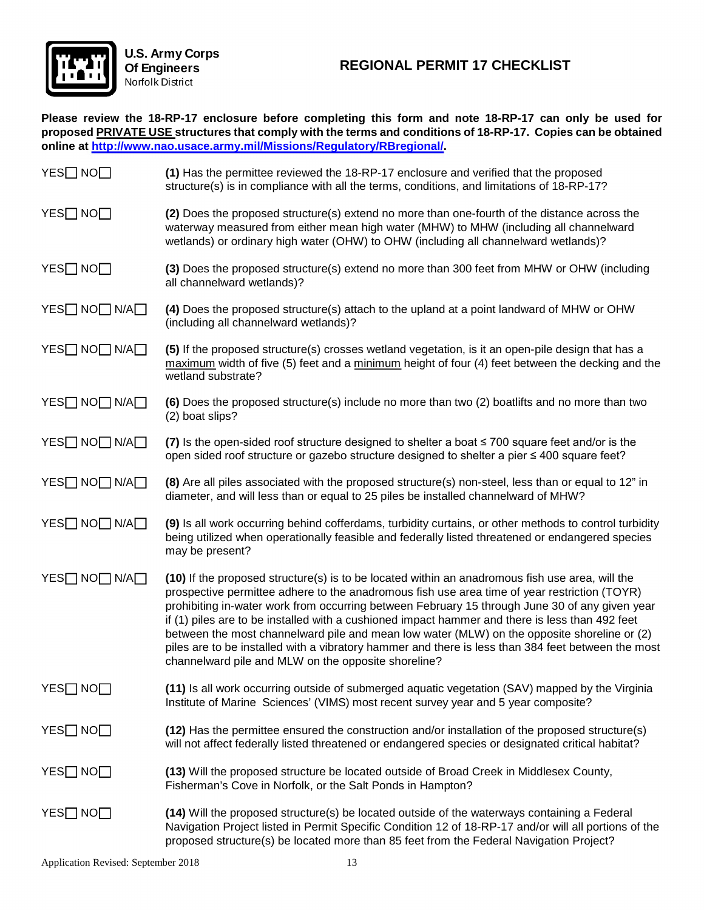

**Please review the 18-RP-17 enclosure before completing this form and note 18-RP-17 can only be used for proposed PRIVATE USE structures that comply with the terms and conditions of 18-RP-17. Copies can be obtained online at [http://www.nao.usace.army.mil/Missions/Regulatory/RBregional/.](http://www.nao.usace.army.mil/Missions/Regulatory/RBregional/)** 

| YES□ NO□      | (1) Has the permittee reviewed the 18-RP-17 enclosure and verified that the proposed<br>structure(s) is in compliance with all the terms, conditions, and limitations of 18-RP-17?                                                                                                                                                                                                                                                                                                                                                                                                                                                                               |
|---------------|------------------------------------------------------------------------------------------------------------------------------------------------------------------------------------------------------------------------------------------------------------------------------------------------------------------------------------------------------------------------------------------------------------------------------------------------------------------------------------------------------------------------------------------------------------------------------------------------------------------------------------------------------------------|
| YES□ NO□      | (2) Does the proposed structure(s) extend no more than one-fourth of the distance across the<br>waterway measured from either mean high water (MHW) to MHW (including all channelward<br>wetlands) or ordinary high water (OHW) to OHW (including all channelward wetlands)?                                                                                                                                                                                                                                                                                                                                                                                     |
| YES□ NO□      | (3) Does the proposed structure(s) extend no more than 300 feet from MHW or OHW (including<br>all channelward wetlands)?                                                                                                                                                                                                                                                                                                                                                                                                                                                                                                                                         |
| YES□ NO□ N/A□ | (4) Does the proposed structure(s) attach to the upland at a point landward of MHW or OHW<br>(including all channelward wetlands)?                                                                                                                                                                                                                                                                                                                                                                                                                                                                                                                               |
| YES□ NO□ N/A□ | (5) If the proposed structure(s) crosses wetland vegetation, is it an open-pile design that has a<br>$maximum$ width of five (5) feet and a $minimum$ height of four (4) feet between the decking and the<br>wetland substrate?                                                                                                                                                                                                                                                                                                                                                                                                                                  |
| YES□ NO□ N/A□ | (6) Does the proposed structure(s) include no more than two (2) boatlifts and no more than two<br>(2) boat slips?                                                                                                                                                                                                                                                                                                                                                                                                                                                                                                                                                |
| YES□ NO□ N/A□ | (7) Is the open-sided roof structure designed to shelter a boat $\leq 700$ square feet and/or is the<br>open sided roof structure or gazebo structure designed to shelter a pier ≤ 400 square feet?                                                                                                                                                                                                                                                                                                                                                                                                                                                              |
| YES□ NO□ N/A□ | (8) Are all piles associated with the proposed structure(s) non-steel, less than or equal to 12" in<br>diameter, and will less than or equal to 25 piles be installed channelward of MHW?                                                                                                                                                                                                                                                                                                                                                                                                                                                                        |
| YES□ NO□ N/A□ | (9) Is all work occurring behind cofferdams, turbidity curtains, or other methods to control turbidity<br>being utilized when operationally feasible and federally listed threatened or endangered species<br>may be present?                                                                                                                                                                                                                                                                                                                                                                                                                                    |
| YES□ NO□ N/A□ | (10) If the proposed structure(s) is to be located within an anadromous fish use area, will the<br>prospective permittee adhere to the anadromous fish use area time of year restriction (TOYR)<br>prohibiting in-water work from occurring between February 15 through June 30 of any given year<br>if (1) piles are to be installed with a cushioned impact hammer and there is less than 492 feet<br>between the most channelward pile and mean low water (MLW) on the opposite shoreline or (2)<br>piles are to be installed with a vibratory hammer and there is less than 384 feet between the most<br>channelward pile and MLW on the opposite shoreline? |
| YES□ NO□      | (11) Is all work occurring outside of submerged aquatic vegetation (SAV) mapped by the Virginia<br>Institute of Marine Sciences' (VIMS) most recent survey year and 5 year composite?                                                                                                                                                                                                                                                                                                                                                                                                                                                                            |
| YES□ NO□      | (12) Has the permittee ensured the construction and/or installation of the proposed structure(s)<br>will not affect federally listed threatened or endangered species or designated critical habitat?                                                                                                                                                                                                                                                                                                                                                                                                                                                            |
| YES□ NO□      | (13) Will the proposed structure be located outside of Broad Creek in Middlesex County,<br>Fisherman's Cove in Norfolk, or the Salt Ponds in Hampton?                                                                                                                                                                                                                                                                                                                                                                                                                                                                                                            |
| YES□ NO□      | (14) Will the proposed structure(s) be located outside of the waterways containing a Federal<br>Navigation Project listed in Permit Specific Condition 12 of 18-RP-17 and/or will all portions of the<br>proposed structure(s) be located more than 85 feet from the Federal Navigation Project?                                                                                                                                                                                                                                                                                                                                                                 |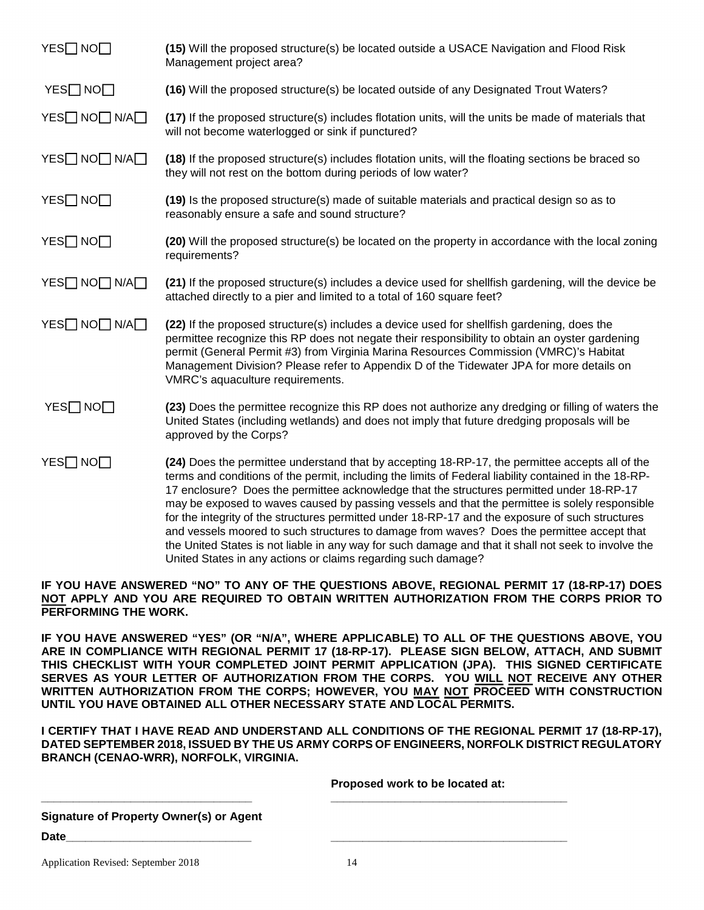| YES□ NO□      | (15) Will the proposed structure(s) be located outside a USACE Navigation and Flood Risk<br>Management project area?                                                                                                                                                                                                                                                                                                                                                                                                                                                                                                                                                                                                                                                               |
|---------------|------------------------------------------------------------------------------------------------------------------------------------------------------------------------------------------------------------------------------------------------------------------------------------------------------------------------------------------------------------------------------------------------------------------------------------------------------------------------------------------------------------------------------------------------------------------------------------------------------------------------------------------------------------------------------------------------------------------------------------------------------------------------------------|
| YES□ NO□      | (16) Will the proposed structure(s) be located outside of any Designated Trout Waters?                                                                                                                                                                                                                                                                                                                                                                                                                                                                                                                                                                                                                                                                                             |
| YES□ NO□ N/A□ | (17) If the proposed structure(s) includes flotation units, will the units be made of materials that<br>will not become waterlogged or sink if punctured?                                                                                                                                                                                                                                                                                                                                                                                                                                                                                                                                                                                                                          |
| YES□ NO□ N/A□ | (18) If the proposed structure(s) includes flotation units, will the floating sections be braced so<br>they will not rest on the bottom during periods of low water?                                                                                                                                                                                                                                                                                                                                                                                                                                                                                                                                                                                                               |
| YES□ NO□      | (19) Is the proposed structure(s) made of suitable materials and practical design so as to<br>reasonably ensure a safe and sound structure?                                                                                                                                                                                                                                                                                                                                                                                                                                                                                                                                                                                                                                        |
| YES□ NO□      | (20) Will the proposed structure(s) be located on the property in accordance with the local zoning<br>requirements?                                                                                                                                                                                                                                                                                                                                                                                                                                                                                                                                                                                                                                                                |
| YES□ NO□ N/A□ | (21) If the proposed structure(s) includes a device used for shellfish gardening, will the device be<br>attached directly to a pier and limited to a total of 160 square feet?                                                                                                                                                                                                                                                                                                                                                                                                                                                                                                                                                                                                     |
| YES□ NO□ N/A□ | (22) If the proposed structure(s) includes a device used for shellfish gardening, does the<br>permittee recognize this RP does not negate their responsibility to obtain an oyster gardening<br>permit (General Permit #3) from Virginia Marina Resources Commission (VMRC)'s Habitat<br>Management Division? Please refer to Appendix D of the Tidewater JPA for more details on<br>VMRC's aquaculture requirements.                                                                                                                                                                                                                                                                                                                                                              |
| YES□ NO□      | (23) Does the permittee recognize this RP does not authorize any dredging or filling of waters the<br>United States (including wetlands) and does not imply that future dredging proposals will be<br>approved by the Corps?                                                                                                                                                                                                                                                                                                                                                                                                                                                                                                                                                       |
| YES□ NO□      | (24) Does the permittee understand that by accepting 18-RP-17, the permittee accepts all of the<br>terms and conditions of the permit, including the limits of Federal liability contained in the 18-RP-<br>17 enclosure? Does the permittee acknowledge that the structures permitted under 18-RP-17<br>may be exposed to waves caused by passing vessels and that the permittee is solely responsible<br>for the integrity of the structures permitted under 18-RP-17 and the exposure of such structures<br>and vessels moored to such structures to damage from waves? Does the permittee accept that<br>the United States is not liable in any way for such damage and that it shall not seek to involve the<br>United States in any actions or claims regarding such damage? |

**IF YOU HAVE ANSWERED "NO" TO ANY OF THE QUESTIONS ABOVE, REGIONAL PERMIT 17 (18-RP-17) DOES NOT APPLY AND YOU ARE REQUIRED TO OBTAIN WRITTEN AUTHORIZATION FROM THE CORPS PRIOR TO PERFORMING THE WORK.**

**IF YOU HAVE ANSWERED "YES" (OR "N/A", WHERE APPLICABLE) TO ALL OF THE QUESTIONS ABOVE, YOU ARE IN COMPLIANCE WITH REGIONAL PERMIT 17 (18-RP-17). PLEASE SIGN BELOW, ATTACH, AND SUBMIT THIS CHECKLIST WITH YOUR COMPLETED JOINT PERMIT APPLICATION (JPA). THIS SIGNED CERTIFICATE SERVES AS YOUR LETTER OF AUTHORIZATION FROM THE CORPS. YOU WILL NOT RECEIVE ANY OTHER WRITTEN AUTHORIZATION FROM THE CORPS; HOWEVER, YOU MAY NOT PROCEED WITH CONSTRUCTION UNTIL YOU HAVE OBTAINED ALL OTHER NECESSARY STATE AND LOCAL PERMITS.**

**I CERTIFY THAT I HAVE READ AND UNDERSTAND ALL CONDITIONS OF THE REGIONAL PERMIT 17 (18-RP-17), DATED SEPTEMBER 2018, ISSUED BY THE US ARMY CORPS OF ENGINEERS, NORFOLK DISTRICT REGULATORY BRANCH (CENAO-WRR), NORFOLK, VIRGINIA.** 

**\_\_\_\_\_\_\_\_\_\_\_\_\_\_\_\_\_\_\_\_\_\_\_\_\_\_\_\_\_\_\_\_\_ \_\_\_\_\_\_\_\_\_\_\_\_\_\_\_\_\_\_\_\_\_\_\_\_\_\_\_\_\_\_\_\_\_\_\_\_\_** 

|  | Proposed work to be located at: |
|--|---------------------------------|
|--|---------------------------------|

**Signature of Property Owner(s) or Agent** 

**Date\_\_\_\_\_\_\_\_\_\_\_\_\_\_\_\_\_\_\_\_\_\_\_\_\_\_\_\_\_ \_\_\_\_\_\_\_\_\_\_\_\_\_\_\_\_\_\_\_\_\_\_\_\_\_\_\_\_\_\_\_\_\_\_\_\_\_**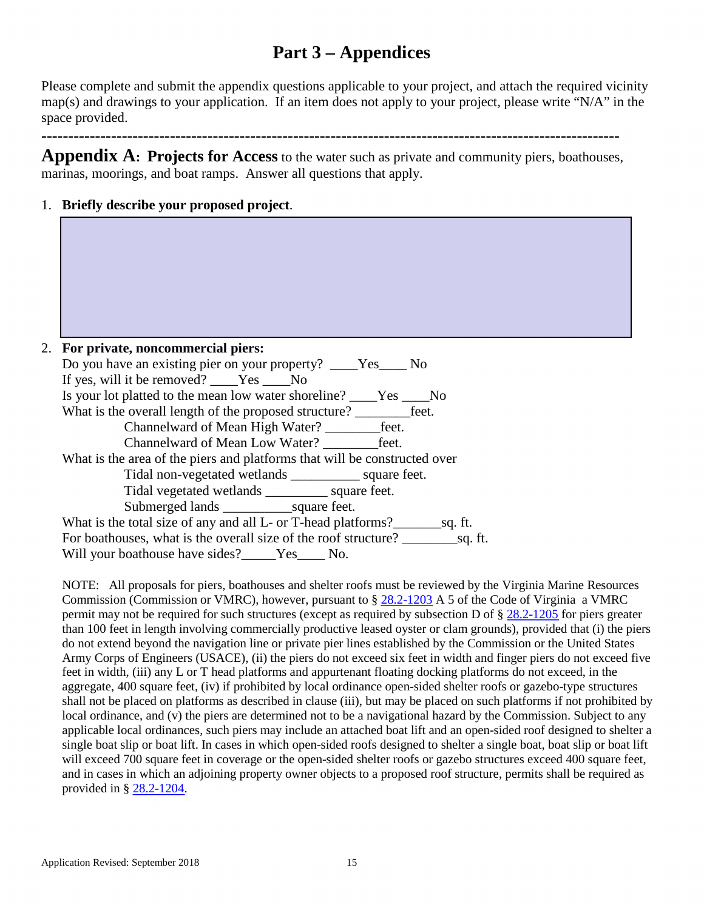# **Part 3 – Appendices**

Please complete and submit the appendix questions applicable to your project, and attach the required vicinity map(s) and drawings to your application. If an item does not apply to your project, please write "N/A" in the space provided.

**------------------------------------------------------------------------------------------------------------** 

**Appendix A: Projects for Access** to the water such as private and community piers, boathouses, marinas, moorings, and boat ramps. Answer all questions that apply.

1. **Briefly describe your proposed project**.

| 2. | For private, noncommercial piers:                                         |
|----|---------------------------------------------------------------------------|
|    | Do you have an existing pier on your property? ____Yes____ No             |
|    | If yes, will it be removed? ____Yes ____No                                |
|    | Is your lot platted to the mean low water shoreline? _____Yes ______No    |
|    |                                                                           |
|    | Channelward of Mean High Water? ___________feet.                          |
|    | Channelward of Mean Low Water? feet.                                      |
|    | What is the area of the piers and platforms that will be constructed over |
|    | Tidal non-vegetated wetlands ______________ square feet.                  |
|    | Tidal vegetated wetlands _____________ square feet.                       |
|    |                                                                           |
|    | What is the total size of any and all L- or T-head platforms?<br>sq. ft.  |
|    | For boathouses, what is the overall size of the roof structure? sq. ft.   |
|    | Will your boathouse have sides? Yes No.                                   |

NOTE: All proposals for piers, boathouses and shelter roofs must be reviewed by the Virginia Marine Resources Commission (Commission or VMRC), however, pursuant to § [28.2-1203](http://law.lis.virginia.gov/vacode/title28.2/chapter12/section28.2-1203/) A 5 of the Code of Virginia a VMRC permit may not be required for such structures (except as required by subsection D of [§ 28.2-1205](http://law.lis.virginia.gov/vacode/title28.2/chapter12/section28.2-1205/) for piers greater than 100 feet in length involving commercially productive leased oyster or clam grounds), provided that (i) the piers do not extend beyond the navigation line or private pier lines established by the Commission or the United States Army Corps of Engineers (USACE), (ii) the piers do not exceed six feet in width and finger piers do not exceed five feet in width, (iii) any L or T head platforms and appurtenant floating docking platforms do not exceed, in the aggregate, 400 square feet, (iv) if prohibited by local ordinance open-sided shelter roofs or gazebo-type structures shall not be placed on platforms as described in clause (iii), but may be placed on such platforms if not prohibited by local ordinance, and (v) the piers are determined not to be a navigational hazard by the Commission. Subject to any applicable local ordinances, such piers may include an attached boat lift and an open-sided roof designed to shelter a single boat slip or boat lift. In cases in which open-sided roofs designed to shelter a single boat, boat slip or boat lift will exceed 700 square feet in coverage or the open-sided shelter roofs or gazebo structures exceed 400 square feet, and in cases in which an adjoining property owner objects to a proposed roof structure, permits shall be required as provided in § [28.2-1204.](http://law.lis.virginia.gov/vacode/title28.2/chapter12/section28.2-1204/)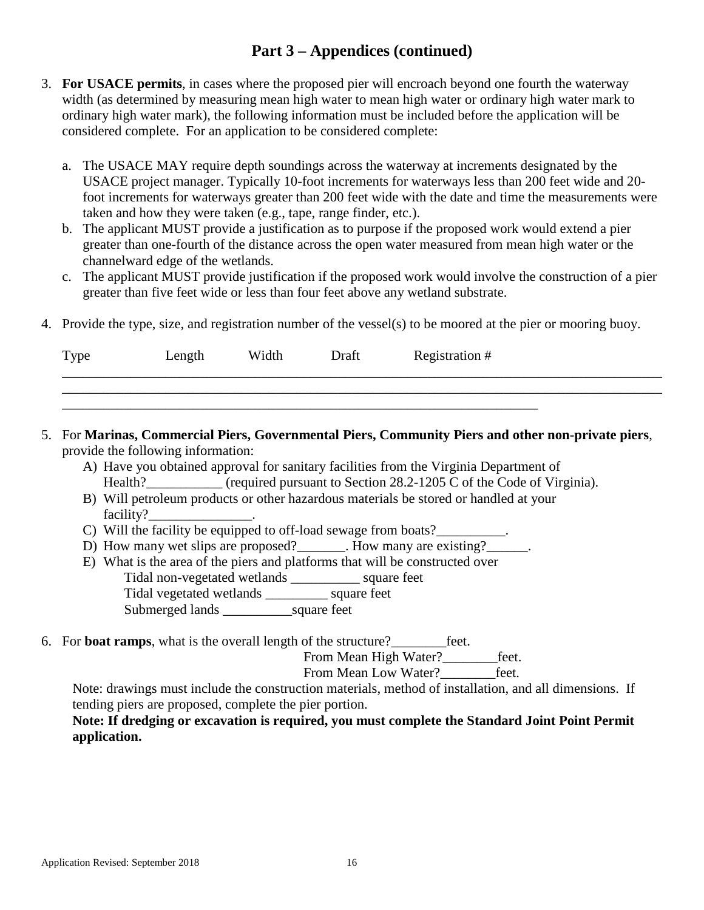- 3. **For USACE permits**, in cases where the proposed pier will encroach beyond one fourth the waterway width (as determined by measuring mean high water to mean high water or ordinary high water mark to ordinary high water mark), the following information must be included before the application will be considered complete. For an application to be considered complete:
	- a. The USACE MAY require depth soundings across the waterway at increments designated by the USACE project manager. Typically 10-foot increments for waterways less than 200 feet wide and 20 foot increments for waterways greater than 200 feet wide with the date and time the measurements were taken and how they were taken (e.g., tape, range finder, etc.).
	- b. The applicant MUST provide a justification as to purpose if the proposed work would extend a pier greater than one-fourth of the distance across the open water measured from mean high water or the channelward edge of the wetlands.
	- c. The applicant MUST provide justification if the proposed work would involve the construction of a pier greater than five feet wide or less than four feet above any wetland substrate.
- 4. Provide the type, size, and registration number of the vessel(s) to be moored at the pier or mooring buoy.

| Type | Length | Width | Draft | Registration # |
|------|--------|-------|-------|----------------|
|      |        |       |       |                |

- 5. For **Marinas, Commercial Piers, Governmental Piers, Community Piers and other non-private piers**, provide the following information:
	- A) Have you obtained approval for sanitary facilities from the Virginia Department of Health? (required pursuant to Section 28.2-1205 C of the Code of Virginia).
	- B) Will petroleum products or other hazardous materials be stored or handled at your facility?
	- C) Will the facility be equipped to off-load sewage from boats?
	- D) How many wet slips are proposed? How many are existing?
	- E) What is the area of the piers and platforms that will be constructed over Tidal non-vegetated wetlands \_\_\_\_\_\_\_\_\_\_ square feet Tidal vegetated wetlands \_\_\_\_\_\_\_\_\_ square feet Submerged lands \_\_\_\_\_\_\_\_\_\_square feet
- 6. For **boat ramps**, what is the overall length of the structure?\_\_\_\_\_\_\_\_feet.

From Mean High Water?<br>Let.

From Mean Low Water? feet.

Note: drawings must include the construction materials, method of installation, and all dimensions. If tending piers are proposed, complete the pier portion.

### **Note: If dredging or excavation is required, you must complete the Standard Joint Point Permit application.**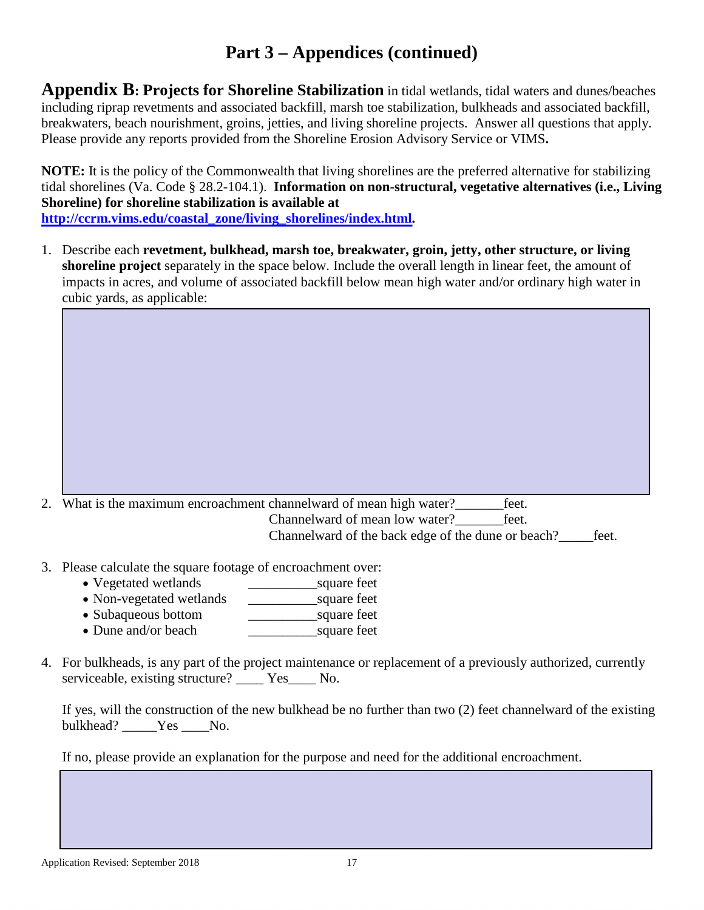**Appendix B: Projects for Shoreline Stabilization** in tidal wetlands, tidal waters and dunes/beaches including riprap revetments and associated backfill, marsh toe stabilization, bulkheads and associated backfill, breakwaters, beach nourishment, groins, jetties, and living shoreline projects. Answer all questions that apply. Please provide any reports provided from the Shoreline Erosion Advisory Service or VIMS**.** 

**NOTE:** It is the policy of the Commonwealth that living shorelines are the preferred alternative for stabilizing tidal shorelines (Va. Code § 28.2-104.1). **Information on non-structural, vegetative alternatives (i.e., Living Shoreline) for shoreline stabilization is available at [http://ccrm.vims.edu/coastal\\_zone/living\\_shorelines/index.html.](http://ccrm.vims.edu/coastal_zone/living_shorelines/index.html)** 

1. Describe each **revetment, bulkhead, marsh toe, breakwater, groin, jetty, other structure, or living shoreline project** separately in the space below. Include the overall length in linear feet, the amount of impacts in acres, and volume of associated backfill below mean high water and/or ordinary high water in cubic yards, as applicable:

2. What is the maximum encroachment channelward of mean high water?\_\_\_\_\_\_\_feet.

Channelward of mean low water? Feet. Channelward of the back edge of the dune or beach?\_\_\_\_\_feet.

- 3. Please calculate the square footage of encroachment over:
	- Vegetated wetlands square feet
	- Non-vegetated wetlands \_\_\_\_\_\_\_\_\_\_square feet
	- Subaqueous bottom \_\_\_\_\_\_\_\_\_\_square feet
	- Dune and/or beach square feet
- 4. For bulkheads, is any part of the project maintenance or replacement of a previously authorized, currently serviceable, existing structure? Yes No.

If yes, will the construction of the new bulkhead be no further than two (2) feet channelward of the existing bulkhead? Yes No.

If no, please provide an explanation for the purpose and need for the additional encroachment.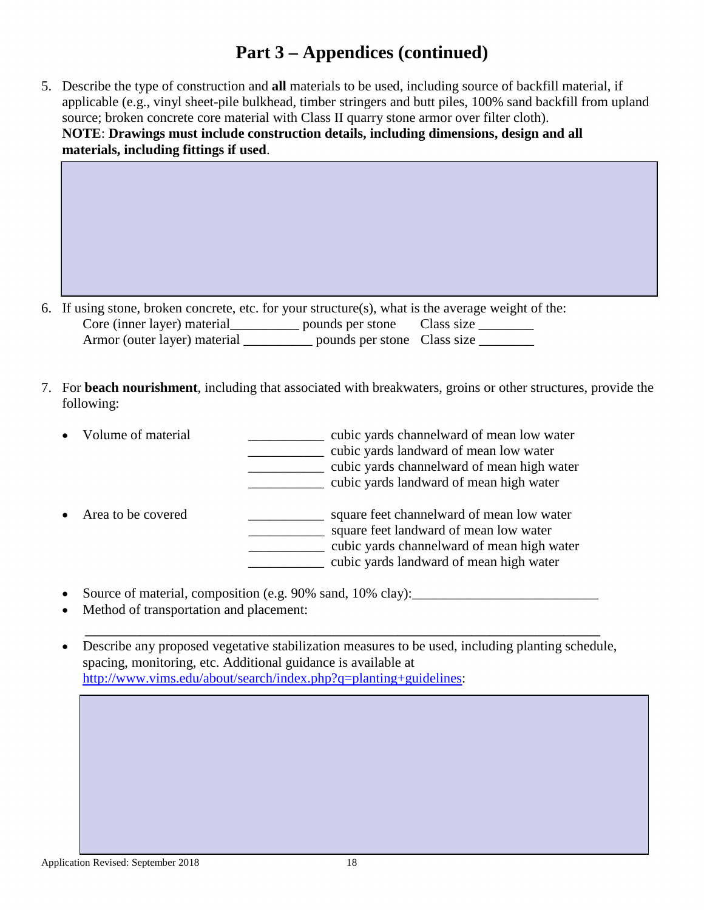5. Describe the type of construction and **all** materials to be used, including source of backfill material, if applicable (e.g., vinyl sheet-pile bulkhead, timber stringers and butt piles, 100% sand backfill from upland source; broken concrete core material with Class II quarry stone armor over filter cloth). **NOTE**: **Drawings must include construction details, including dimensions, design and all materials, including fittings if used**.

| 6. If using stone, broken concrete, etc. for your structure(s), what is the average weight of the: |                             |  |
|----------------------------------------------------------------------------------------------------|-----------------------------|--|
| Core (inner layer) material                                                                        | pounds per stone Class size |  |
| Armor (outer layer) material                                                                       | pounds per stone Class size |  |

7. For **beach nourishment**, including that associated with breakwaters, groins or other structures, provide the following:

| Volume of material | cubic yards channelward of mean low water<br>cubic yards landward of mean low water<br>cubic yards channelward of mean high water<br>cubic yards landward of mean high water |
|--------------------|------------------------------------------------------------------------------------------------------------------------------------------------------------------------------|
| Area to be covered | square feet channelward of mean low water<br>square feet landward of mean low water<br>cubic yards channelward of mean high water<br>cubic yards landward of mean high water |

- Source of material, composition (e.g. 90% sand, 10% clay): \_\_\_\_\_\_\_\_\_\_\_\_\_\_\_\_\_\_\_\_\_\_
- Method of transportation and placement:

• Describe any proposed vegetative stabilization measures to be used, including planting schedule, spacing, monitoring, etc. Additional guidance is available at [http://www.vims.edu/about/search/index.php?q=planting+guidelines:](http://www.vims.edu/about/search/index.php?q=planting+guidelines)

\_\_\_\_\_\_\_\_\_\_\_\_\_\_\_\_\_\_\_\_\_\_\_\_\_\_\_\_\_\_\_\_\_\_\_\_\_\_\_\_\_\_\_\_\_\_\_\_\_\_\_\_\_\_\_\_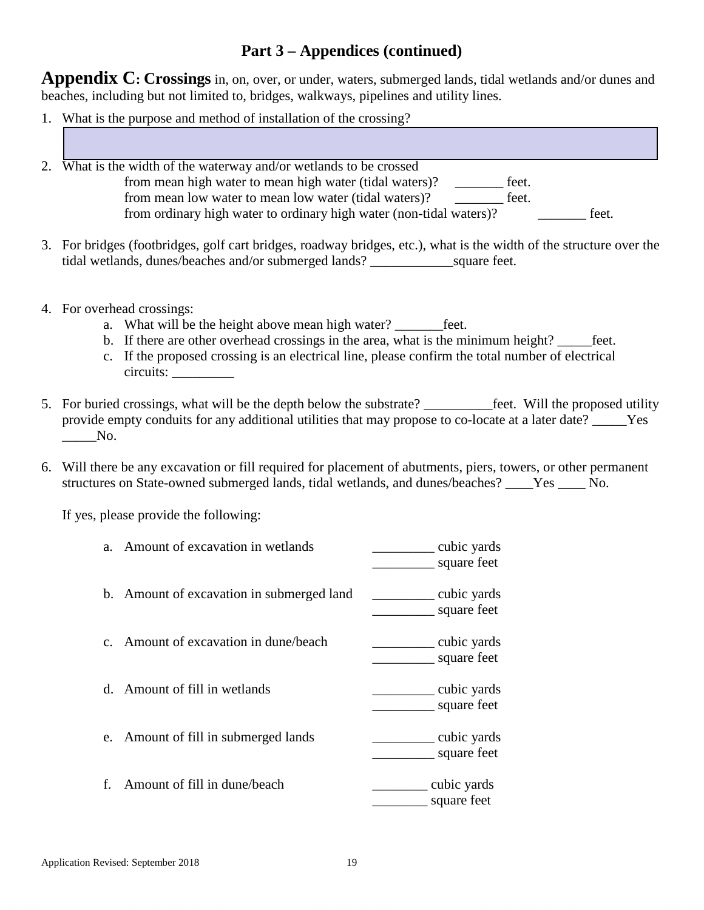**Appendix C: Crossings** in, on, over, or under, waters, submerged lands, tidal wetlands and/or dunes and beaches, including but not limited to, bridges, walkways, pipelines and utility lines.

- 1. What is the purpose and method of installation of the crossing?
- 2. What is the width of the waterway and/or wetlands to be crossed from mean high water to mean high water (tidal waters)? \_\_\_\_\_\_\_ feet. from mean low water to mean low water (tidal waters)? \_\_\_\_\_\_\_ feet. from ordinary high water to ordinary high water (non-tidal waters)? \_\_\_\_\_\_\_ feet.
- 3. For bridges (footbridges, golf cart bridges, roadway bridges, etc.), what is the width of the structure over the tidal wetlands, dunes/beaches and/or submerged lands? \_\_\_\_\_\_\_\_\_\_\_\_square feet.
- 4. For overhead crossings:
	- a. What will be the height above mean high water? feet.
	- b. If there are other overhead crossings in the area, what is the minimum height? \_\_\_\_\_feet.
	- c. If the proposed crossing is an electrical line, please confirm the total number of electrical circuits: \_\_\_\_\_\_\_\_\_
- 5. For buried crossings, what will be the depth below the substrate? \_\_\_\_\_\_\_\_\_\_feet. Will the proposed utility provide empty conduits for any additional utilities that may propose to co-locate at a later date? \_\_\_\_\_Yes  $\overline{\phantom{a}}$ No.
- 6. Will there be any excavation or fill required for placement of abutments, piers, towers, or other permanent structures on State-owned submerged lands, tidal wetlands, and dunes/beaches? \_\_\_\_Yes \_\_\_\_ No.

If yes, please provide the following:

| a. Amount of excavation in wetlands       | cubic yards<br>square feet              |
|-------------------------------------------|-----------------------------------------|
| b. Amount of excavation in submerged land | ____________ cubic yards<br>square feet |
| c. Amount of excavation in dune/beach     | cubic yards<br>square feet              |
| d. Amount of fill in wetlands             | cubic yards<br>square feet              |
| e. Amount of fill in submerged lands      | cubic yards<br>square feet              |
| f. Amount of fill in dune/beach           | _ cubic yards<br>square feet            |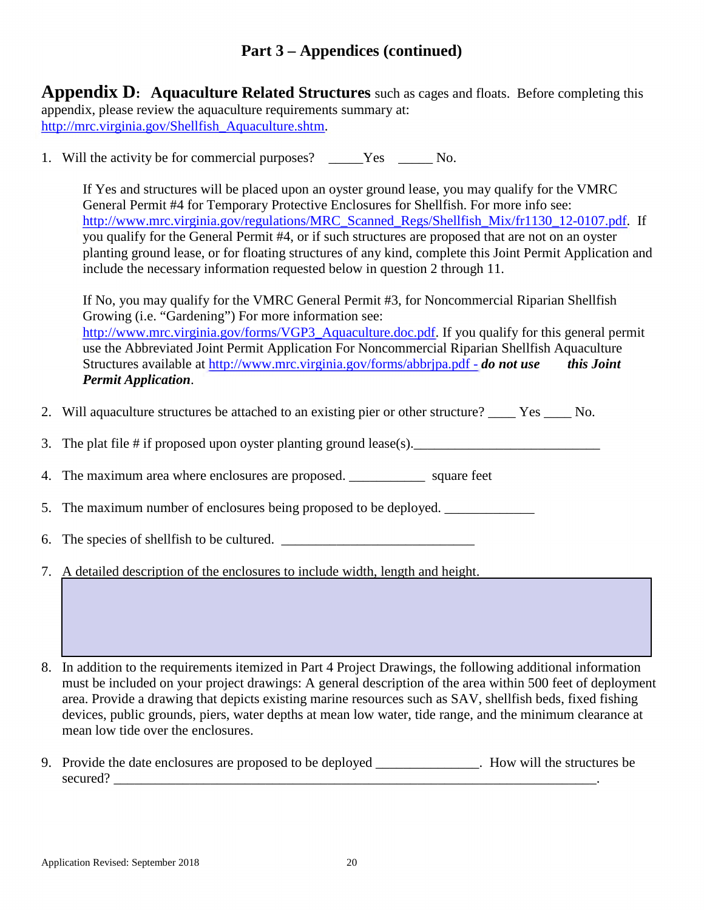**Appendix D: Aquaculture Related Structures** such as cages and floats. Before completing this appendix, please review the aquaculture requirements summary at: [http://mrc.virginia.gov/Shellfish\\_Aquaculture.shtm.](http://mrc.virginia.gov/Shellfish_Aquaculture.shtm)

1. Will the activity be for commercial purposes? \_\_\_\_\_Yes \_\_\_\_\_No.

If Yes and structures will be placed upon an oyster ground lease, you may qualify for the VMRC General Permit #4 for Temporary Protective Enclosures for Shellfish. For more info see: [http://www.mrc.virginia.gov/regulations/MRC\\_Scanned\\_Regs/Shellfish\\_Mix/fr1130\\_12-0107.pdf.](http://www.mrc.virginia.gov/regulations/MRC_Scanned_Regs/Shellfish_Mix/fr1130_12-0107.pdf) If you qualify for the General Permit #4, or if such structures are proposed that are not on an oyster planting ground lease, or for floating structures of any kind, complete this Joint Permit Application and include the necessary information requested below in question 2 through 11.

If No, you may qualify for the VMRC General Permit #3, for Noncommercial Riparian Shellfish Growing (i.e. "Gardening") For more information see: [http://www.mrc.virginia.gov/forms/VGP3\\_Aquaculture.doc.pdf.](http://www.mrc.virginia.gov/forms/VGP3_Aquaculture.doc.pdf) If you qualify for this general permit use the Abbreviated Joint Permit Application For Noncommercial Riparian Shellfish Aquaculture Structures available at<http://www.mrc.virginia.gov/forms/abbrjpa.pdf>- *do not use this Joint Permit Application*.

- 2. Will aquaculture structures be attached to an existing pier or other structure? Yes No.
- 3. The plat file  $\#$  if proposed upon oyster planting ground lease(s).
- 4. The maximum area where enclosures are proposed. Square feet
- 5. The maximum number of enclosures being proposed to be deployed.
- 6. The species of shell fish to be cultured.
- 7. A detailed description of the enclosures to include width, length and height.

8. In addition to the requirements itemized in Part 4 Project Drawings, the following additional information must be included on your project drawings: A general description of the area within 500 feet of deployment area. Provide a drawing that depicts existing marine resources such as SAV, shellfish beds, fixed fishing devices, public grounds, piers, water depths at mean low water, tide range, and the minimum clearance at mean low tide over the enclosures.

9. Provide the date enclosures are proposed to be deployed \_\_\_\_\_\_\_\_\_\_\_\_\_\_\_. How will the structures be secured?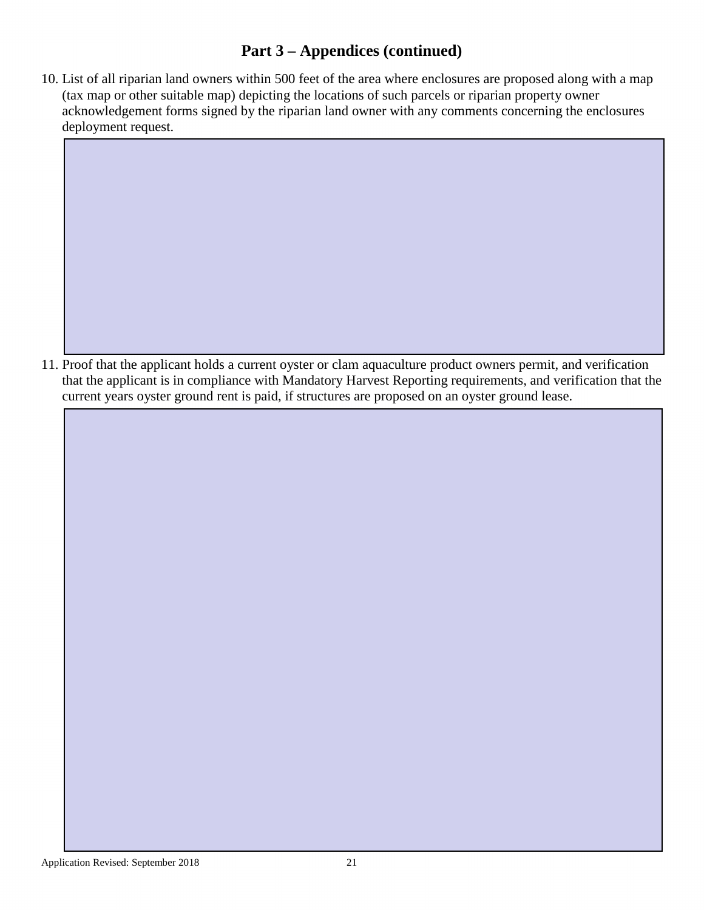10. List of all riparian land owners within 500 feet of the area where enclosures are proposed along with a map (tax map or other suitable map) depicting the locations of such parcels or riparian property owner acknowledgement forms signed by the riparian land owner with any comments concerning the enclosures deployment request.

11. Proof that the applicant holds a current oyster or clam aquaculture product owners permit, and verification that the applicant is in compliance with Mandatory Harvest Reporting requirements, and verification that the current years oyster ground rent is paid, if structures are proposed on an oyster ground lease.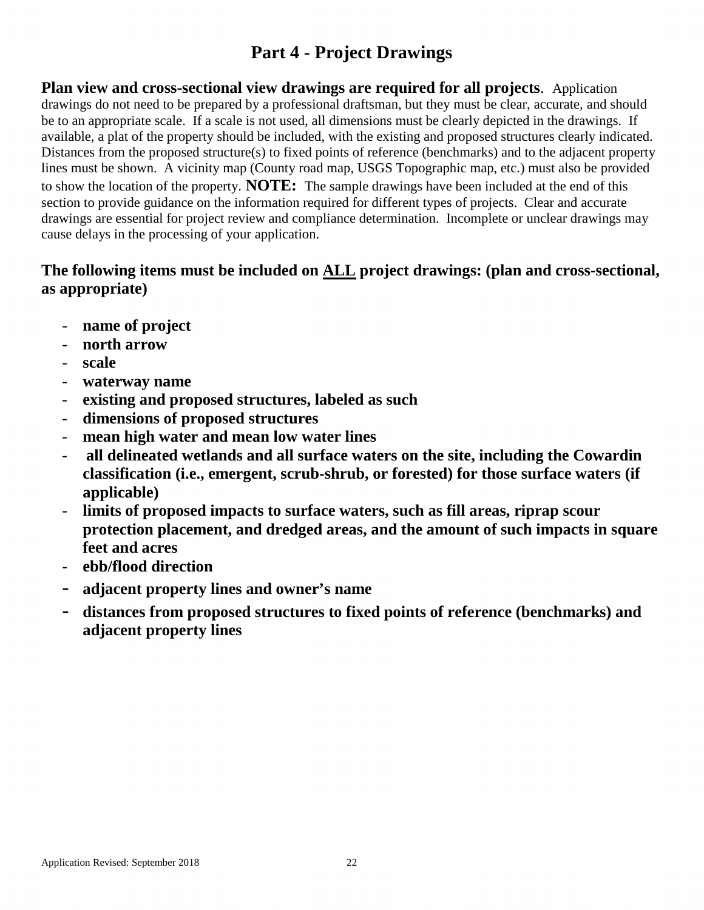# **Part 4 - Project Drawings**

**Plan view and cross-sectional view drawings are required for all projects**. Application drawings do not need to be prepared by a professional draftsman, but they must be clear, accurate, and should be to an appropriate scale. If a scale is not used, all dimensions must be clearly depicted in the drawings. If available, a plat of the property should be included, with the existing and proposed structures clearly indicated. Distances from the proposed structure(s) to fixed points of reference (benchmarks) and to the adjacent property lines must be shown. A vicinity map (County road map, USGS Topographic map, etc.) must also be provided to show the location of the property. **NOTE:** The sample drawings have been included at the end of this section to provide guidance on the information required for different types of projects. Clear and accurate drawings are essential for project review and compliance determination. Incomplete or unclear drawings may cause delays in the processing of your application.

## The following items must be included on <u>ALL</u> project drawings: (plan and cross-sectional, as annualized) **as appropriate)**

- name of project
- **north arrow**
- **scale**
- **waterway name**
- **existing and proposed structures, labeled as such**
- **dimensions of proposed structures**
- mean high water and mean low water lines
- **all delineated wetlands and all surface waters on the site, including the Cowardin classification (i.e., emergent, scrub-shrub, or forested) for those surface waters (if applicable)**
- limits of proposed impacts to surface waters, such as fill areas, riprap scour **protection placement, and dredged areas, and the amount of such impacts in square feet and acres**
- **ebb/flood direction**
- **adjacent property lines and owner's name**
- **distances from proposed structures to fixed points of reference (benchmarks) and adjacent property lines**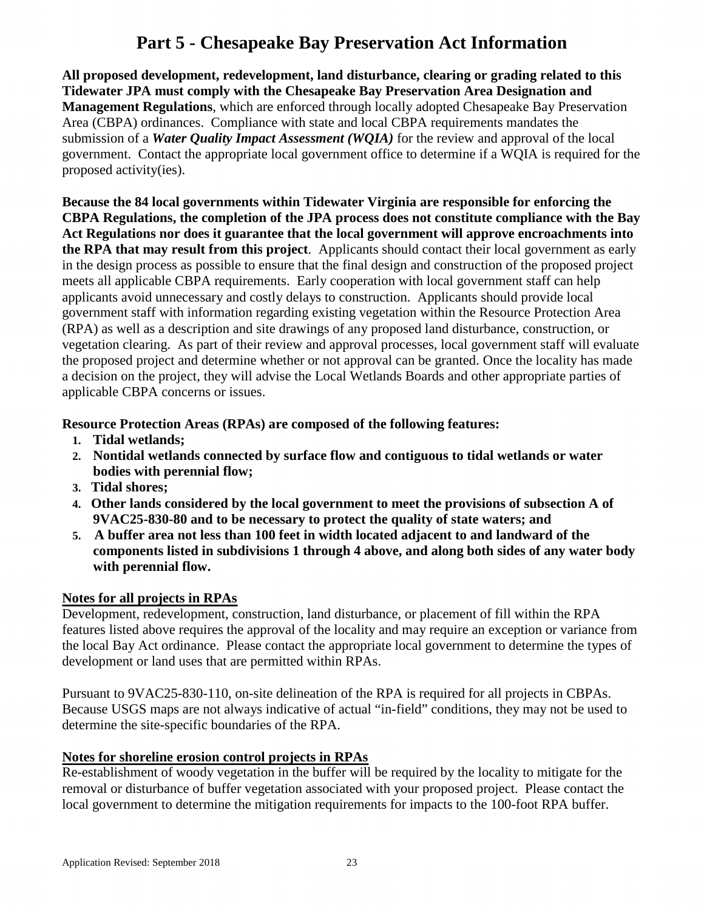# **Part 5 - Chesapeake Bay Preservation Act Information**

**All proposed development, redevelopment, land disturbance, clearing or grading related to this Tidewater JPA must comply with the Chesapeake Bay Preservation Area Designation and Management Regulations**, which are enforced through locally adopted Chesapeake Bay Preservation Area (CBPA) ordinances. Compliance with state and local CBPA requirements mandates the submission of a *Water Quality Impact Assessment (WQIA)* for the review and approval of the local government. Contact the appropriate local government office to determine if a WQIA is required for the proposed activity(ies).

**Because the 84 local governments within Tidewater Virginia are responsible for enforcing the CBPA Regulations, the completion of the JPA process does not constitute compliance with the Bay Act Regulations nor does it guarantee that the local government will approve encroachments into the RPA that may result from this project**. Applicants should contact their local government as early in the design process as possible to ensure that the final design and construction of the proposed project meets all applicable CBPA requirements. Early cooperation with local government staff can help applicants avoid unnecessary and costly delays to construction. Applicants should provide local government staff with information regarding existing vegetation within the Resource Protection Area (RPA) as well as a description and site drawings of any proposed land disturbance, construction, or vegetation clearing. As part of their review and approval processes, local government staff will evaluate the proposed project and determine whether or not approval can be granted. Once the locality has made a decision on the project, they will advise the Local Wetlands Boards and other appropriate parties of applicable CBPA concerns or issues.

### **Resource Protection Areas (RPAs) are composed of the following features:**

- **1. Tidal wetlands;**
- **2. Nontidal wetlands connected by surface flow and contiguous to tidal wetlands or water bodies with perennial flow;**
- **3. Tidal shores;**
- **4. Other lands considered by the local government to meet the provisions of subsection A of 9VAC25-830-80 and to be necessary to protect the quality of state waters; and**
- **5. A buffer area not less than 100 feet in width located adjacent to and landward of the components listed in subdivisions 1 through 4 above, and along both sides of any water body with perennial flow.**

### **Notes for all projects in RPAs**

Development, redevelopment, construction, land disturbance, or placement of fill within the RPA features listed above requires the approval of the locality and may require an exception or variance from the local Bay Act ordinance. Please contact the appropriate local government to determine the types of development or land uses that are permitted within RPAs.

Pursuant to 9VAC25-830-110, on-site delineation of the RPA is required for all projects in CBPAs. Because USGS maps are not always indicative of actual "in-field" conditions, they may not be used to determine the site-specific boundaries of the RPA.

#### **Notes for shoreline erosion control projects in RPAs**

Re-establishment of woody vegetation in the buffer will be required by the locality to mitigate for the removal or disturbance of buffer vegetation associated with your proposed project. Please contact the local government to determine the mitigation requirements for impacts to the 100-foot RPA buffer.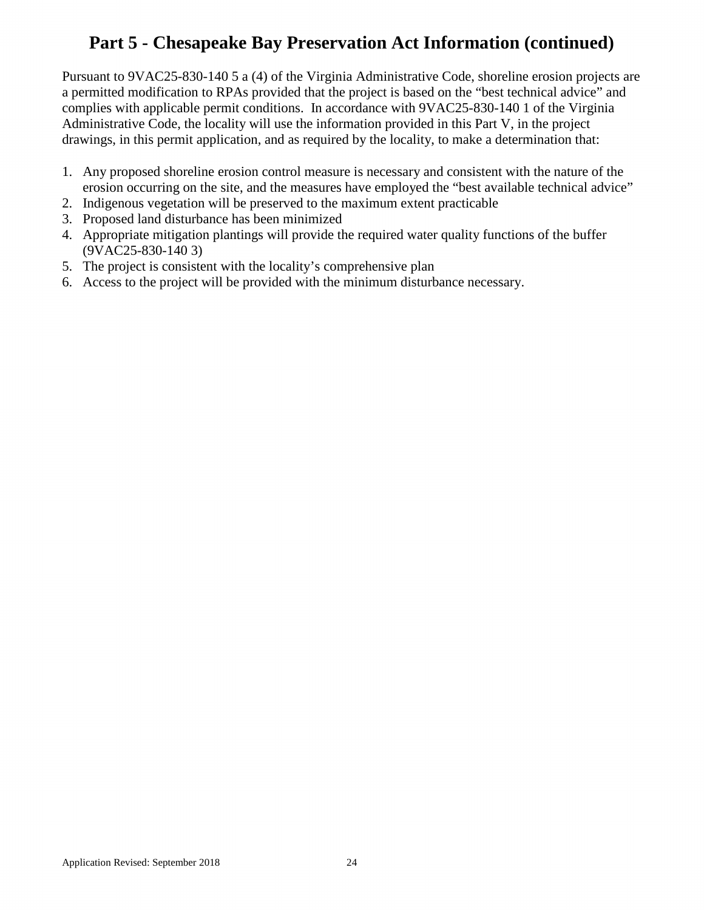# **Part 5 - Chesapeake Bay Preservation Act Information (continued)**

Pursuant to 9VAC25-830-140 5 a (4) of the Virginia Administrative Code, shoreline erosion projects are a permitted modification to RPAs provided that the project is based on the "best technical advice" and complies with applicable permit conditions. In accordance with 9VAC25-830-140 1 of the Virginia Administrative Code, the locality will use the information provided in this Part V, in the project drawings, in this permit application, and as required by the locality, to make a determination that:

- 1. Any proposed shoreline erosion control measure is necessary and consistent with the nature of the erosion occurring on the site, and the measures have employed the "best available technical advice"
- 2. Indigenous vegetation will be preserved to the maximum extent practicable
- 3. Proposed land disturbance has been minimized
- 4. Appropriate mitigation plantings will provide the required water quality functions of the buffer (9VAC25-830-140 3)
- 5. The project is consistent with the locality's comprehensive plan
- 6. Access to the project will be provided with the minimum disturbance necessary.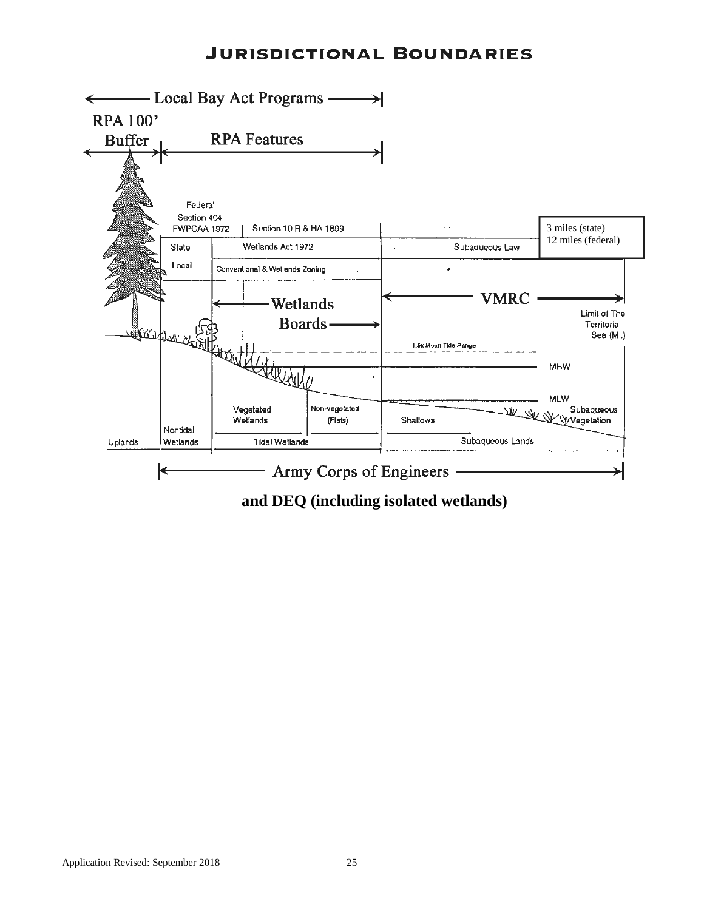## **JURISDICTIONAL BOUNDARIES**



**and DEQ (including isolated wetlands)**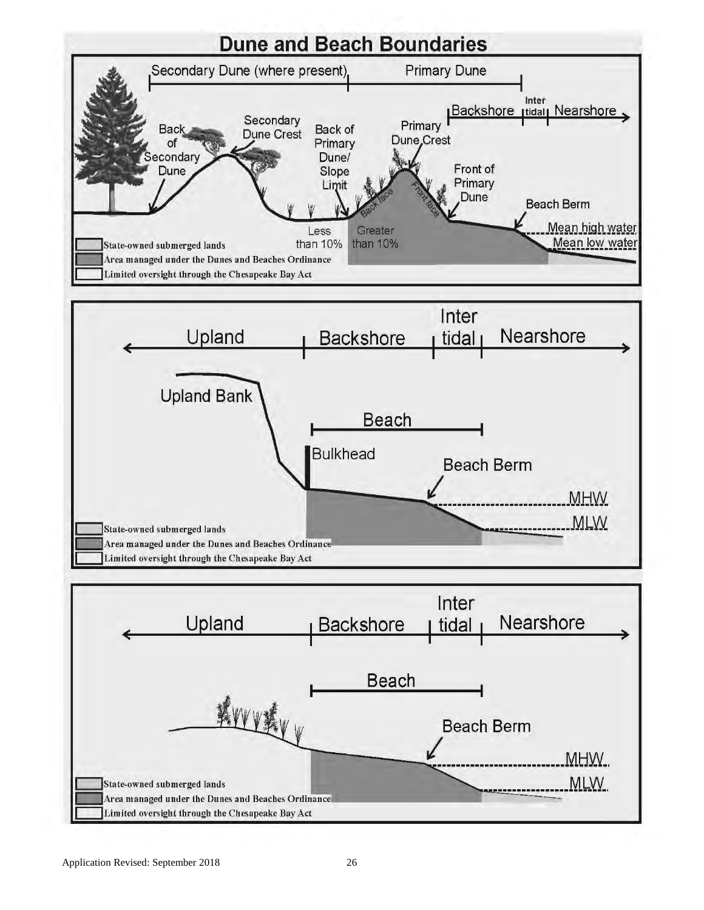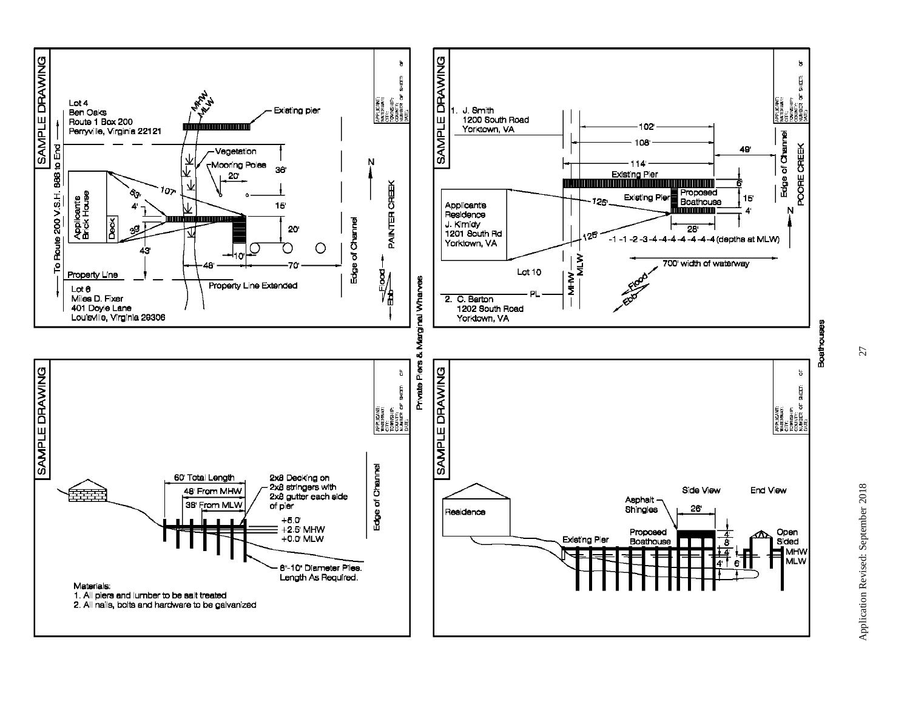

27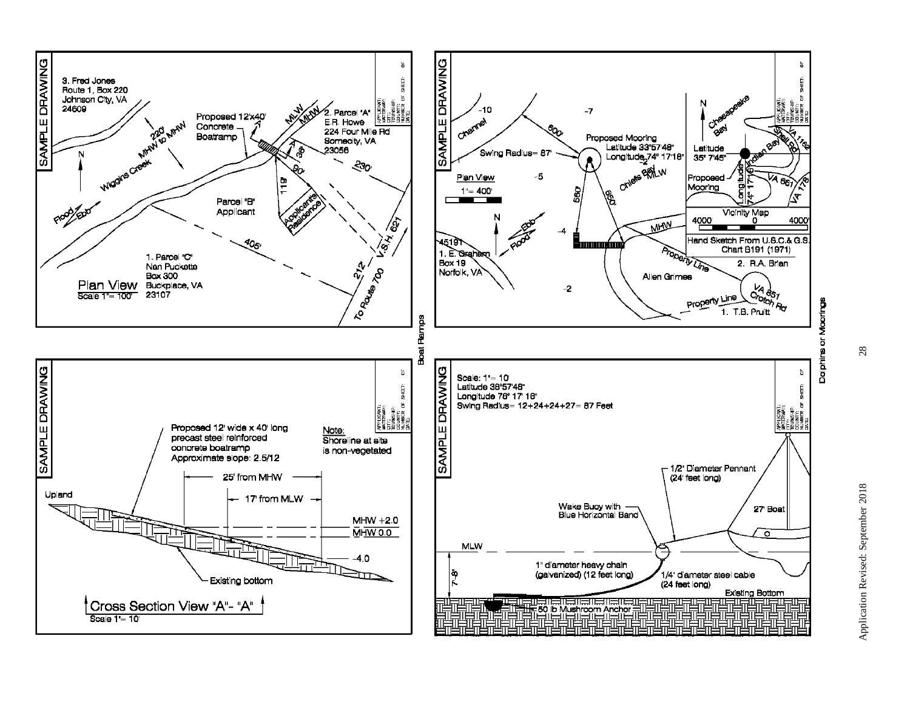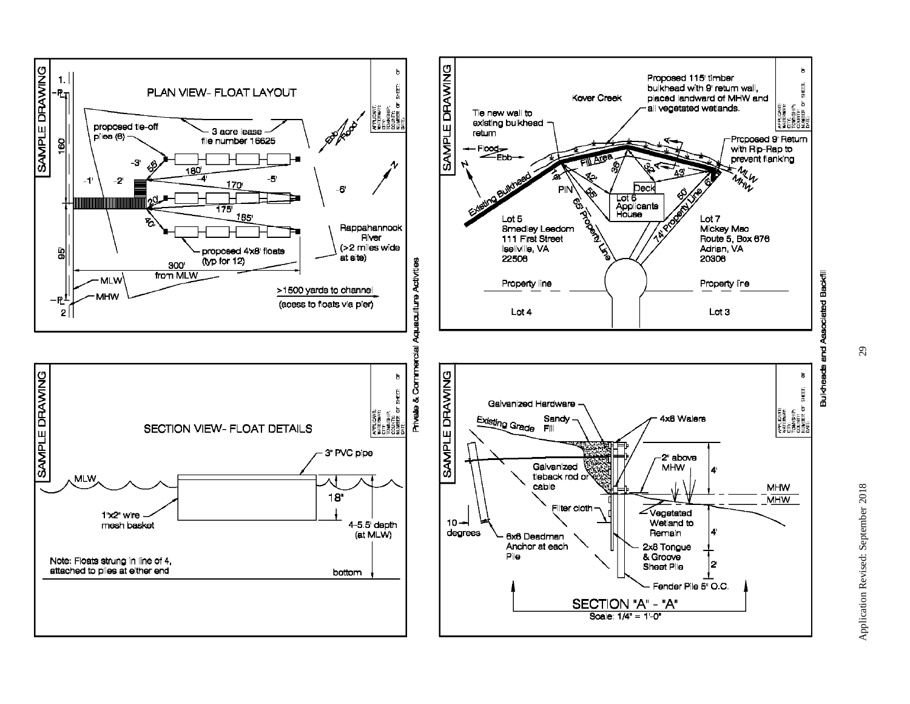

 $\mathfrak{S}$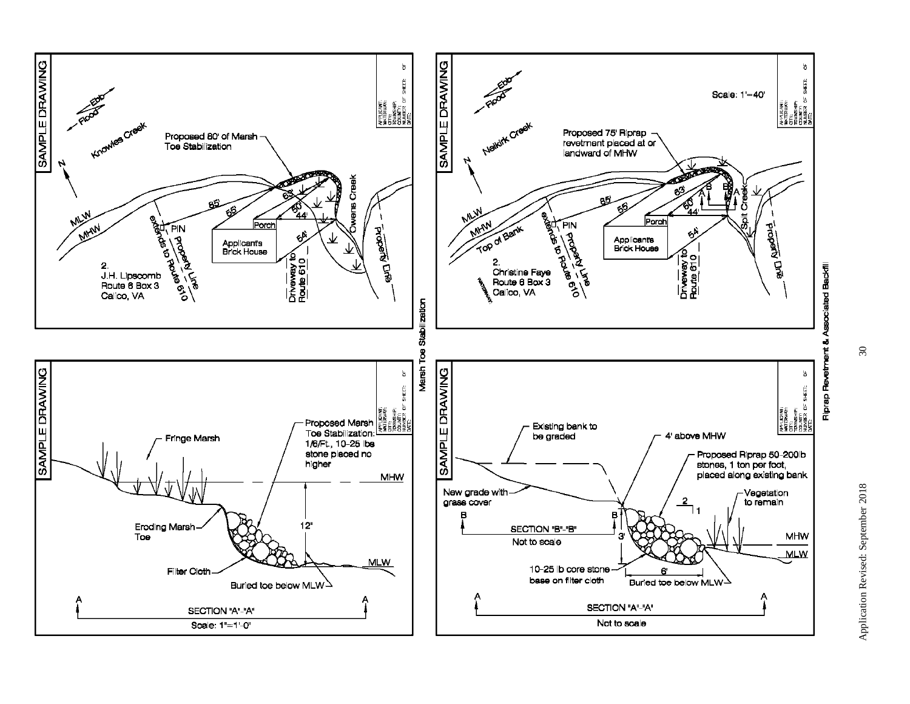

 $30\,$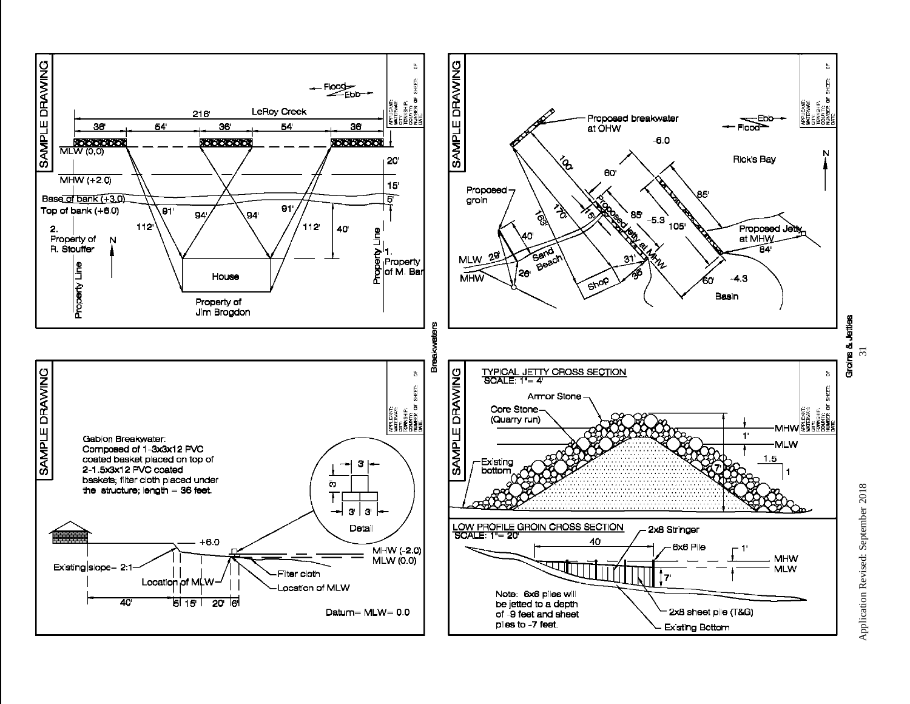